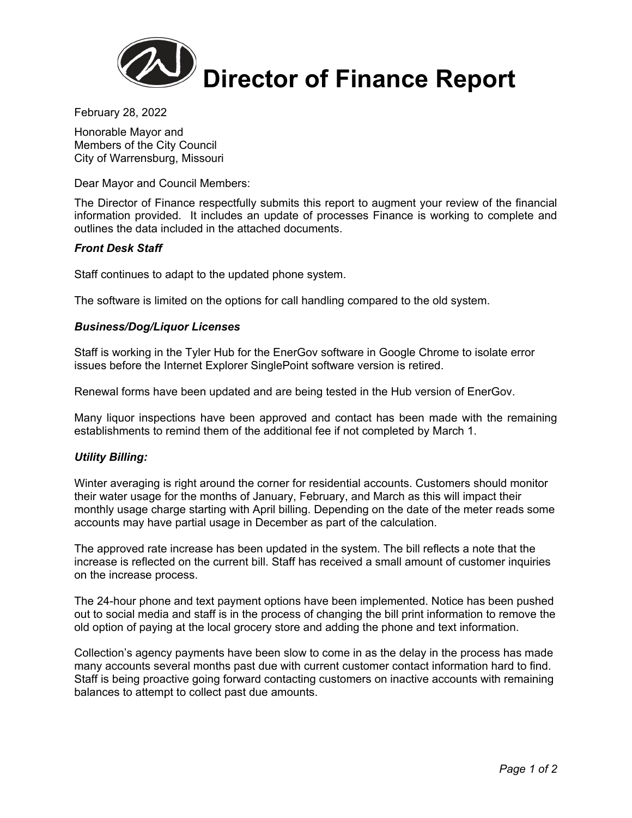

February 28, 2022

Honorable Mayor and Members of the City Council City of Warrensburg, Missouri

Dear Mayor and Council Members:

The Director of Finance respectfully submits this report to augment your review of the financial information provided. It includes an update of processes Finance is working to complete and outlines the data included in the attached documents.

# *Front Desk Staff*

Staff continues to adapt to the updated phone system.

The software is limited on the options for call handling compared to the old system.

# *Business/Dog/Liquor Licenses*

Staff is working in the Tyler Hub for the EnerGov software in Google Chrome to isolate error issues before the Internet Explorer SinglePoint software version is retired.

Renewal forms have been updated and are being tested in the Hub version of EnerGov.

Many liquor inspections have been approved and contact has been made with the remaining establishments to remind them of the additional fee if not completed by March 1.

### *Utility Billing:*

Winter averaging is right around the corner for residential accounts. Customers should monitor their water usage for the months of January, February, and March as this will impact their monthly usage charge starting with April billing. Depending on the date of the meter reads some accounts may have partial usage in December as part of the calculation.

The approved rate increase has been updated in the system. The bill reflects a note that the increase is reflected on the current bill. Staff has received a small amount of customer inquiries on the increase process.

The 24-hour phone and text payment options have been implemented. Notice has been pushed out to social media and staff is in the process of changing the bill print information to remove the old option of paying at the local grocery store and adding the phone and text information.

Collection's agency payments have been slow to come in as the delay in the process has made many accounts several months past due with current customer contact information hard to find. Staff is being proactive going forward contacting customers on inactive accounts with remaining balances to attempt to collect past due amounts.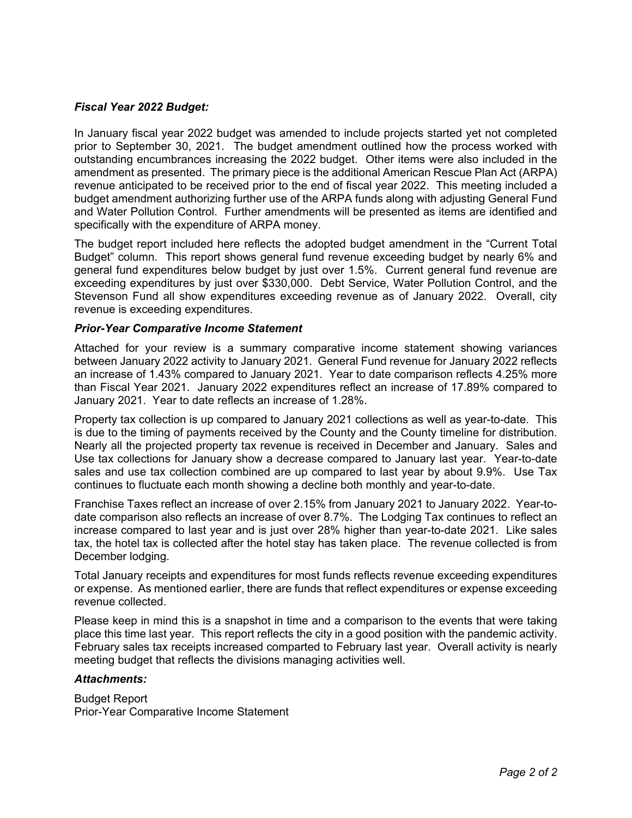# *Fiscal Year 2022 Budget:*

In January fiscal year 2022 budget was amended to include projects started yet not completed prior to September 30, 2021. The budget amendment outlined how the process worked with outstanding encumbrances increasing the 2022 budget. Other items were also included in the amendment as presented. The primary piece is the additional American Rescue Plan Act (ARPA) revenue anticipated to be received prior to the end of fiscal year 2022. This meeting included a budget amendment authorizing further use of the ARPA funds along with adjusting General Fund and Water Pollution Control. Further amendments will be presented as items are identified and specifically with the expenditure of ARPA money.

The budget report included here reflects the adopted budget amendment in the "Current Total Budget" column. This report shows general fund revenue exceeding budget by nearly 6% and general fund expenditures below budget by just over 1.5%. Current general fund revenue are exceeding expenditures by just over \$330,000. Debt Service, Water Pollution Control, and the Stevenson Fund all show expenditures exceeding revenue as of January 2022. Overall, city revenue is exceeding expenditures.

### *Prior-Year Comparative Income Statement*

Attached for your review is a summary comparative income statement showing variances between January 2022 activity to January 2021. General Fund revenue for January 2022 reflects an increase of 1.43% compared to January 2021. Year to date comparison reflects 4.25% more than Fiscal Year 2021. January 2022 expenditures reflect an increase of 17.89% compared to January 2021. Year to date reflects an increase of 1.28%.

Property tax collection is up compared to January 2021 collections as well as year-to-date. This is due to the timing of payments received by the County and the County timeline for distribution. Nearly all the projected property tax revenue is received in December and January. Sales and Use tax collections for January show a decrease compared to January last year. Year-to-date sales and use tax collection combined are up compared to last year by about 9.9%. Use Tax continues to fluctuate each month showing a decline both monthly and year-to-date.

Franchise Taxes reflect an increase of over 2.15% from January 2021 to January 2022. Year-todate comparison also reflects an increase of over 8.7%. The Lodging Tax continues to reflect an increase compared to last year and is just over 28% higher than year-to-date 2021. Like sales tax, the hotel tax is collected after the hotel stay has taken place. The revenue collected is from December lodging.

Total January receipts and expenditures for most funds reflects revenue exceeding expenditures or expense. As mentioned earlier, there are funds that reflect expenditures or expense exceeding revenue collected.

Please keep in mind this is a snapshot in time and a comparison to the events that were taking place this time last year. This report reflects the city in a good position with the pandemic activity. February sales tax receipts increased comparted to February last year. Overall activity is nearly meeting budget that reflects the divisions managing activities well.

### *Attachments:*

Budget Report Prior-Year Comparative Income Statement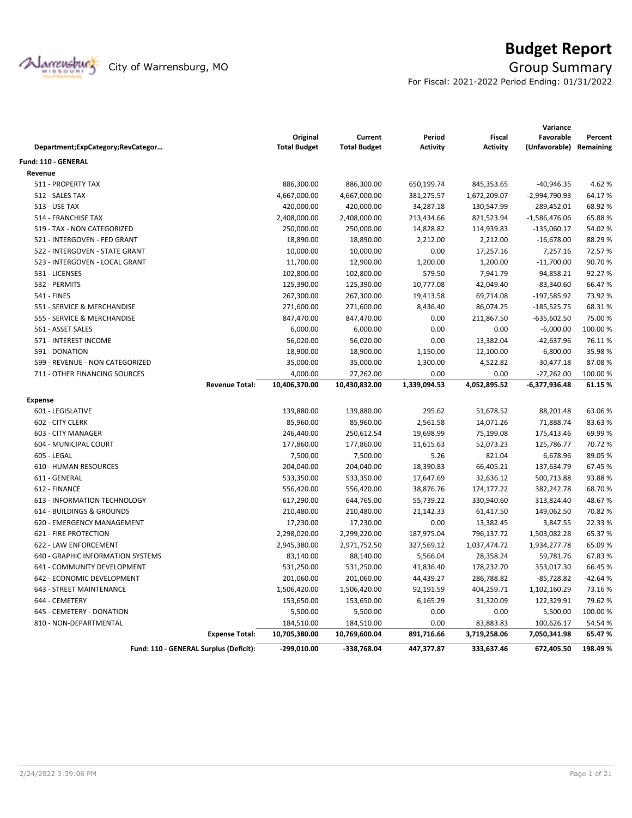

# **Budget Report**

For Fiscal: 2021-2022 Period Ending: 01/31/2022

|                                        |                       |                     |                     |                 |                 | Variance        |           |
|----------------------------------------|-----------------------|---------------------|---------------------|-----------------|-----------------|-----------------|-----------|
|                                        |                       | Original            | Current             | Period          | <b>Fiscal</b>   | Favorable       | Percent   |
| Department;ExpCategory;RevCategor      |                       | <b>Total Budget</b> | <b>Total Budget</b> | <b>Activity</b> | <b>Activity</b> | (Unfavorable)   | Remaining |
| <b>Fund: 110 - GENERAL</b>             |                       |                     |                     |                 |                 |                 |           |
| Revenue                                |                       |                     |                     |                 |                 |                 |           |
| 511 - PROPERTY TAX                     |                       | 886,300.00          | 886,300.00          | 650,199.74      | 845,353.65      | $-40,946.35$    | 4.62%     |
| 512 - SALES TAX                        |                       | 4,667,000.00        | 4,667,000.00        | 381,275.57      | 1,672,209.07    | -2,994,790.93   | 64.17%    |
| <b>513 - USE TAX</b>                   |                       | 420,000.00          | 420,000.00          | 34,287.18       | 130,547.99      | $-289,452.01$   | 68.92%    |
| 514 - FRANCHISE TAX                    |                       | 2,408,000.00        | 2,408,000.00        | 213,434.66      | 821,523.94      | $-1,586,476.06$ | 65.88%    |
| 519 - TAX - NON CATEGORIZED            |                       | 250,000.00          | 250,000.00          | 14,828.82       | 114,939.83      | $-135,060.17$   | 54.02%    |
| 521 - INTERGOVEN - FED GRANT           |                       | 18,890.00           | 18,890.00           | 2,212.00        | 2,212.00        | $-16,678.00$    | 88.29%    |
| 522 - INTERGOVEN - STATE GRANT         |                       | 10,000.00           | 10,000.00           | 0.00            | 17,257.16       | 7,257.16        | 72.57%    |
| 523 - INTERGOVEN - LOCAL GRANT         |                       | 11,700.00           | 12,900.00           | 1,200.00        | 1,200.00        | $-11,700.00$    | 90.70%    |
| 531 - LICENSES                         |                       | 102,800.00          | 102,800.00          | 579.50          | 7,941.79        | $-94,858.21$    | 92.27%    |
| 532 - PERMITS                          |                       | 125,390.00          | 125,390.00          | 10,777.08       | 42,049.40       | $-83,340.60$    | 66.47%    |
| 541 - FINES                            |                       | 267,300.00          | 267,300.00          | 19,413.58       | 69,714.08       | $-197,585.92$   | 73.92 %   |
| 551 - SERVICE & MERCHANDISE            |                       | 271,600.00          | 271,600.00          | 8,436.40        | 86,074.25       | $-185,525.75$   | 68.31%    |
| 555 - SERVICE & MERCHANDISE            |                       | 847,470.00          | 847,470.00          | 0.00            | 211,867.50      | $-635,602.50$   | 75.00 %   |
| 561 - ASSET SALES                      |                       | 6,000.00            | 6,000.00            | 0.00            | 0.00            | $-6,000.00$     | 100.00%   |
| 571 - INTEREST INCOME                  |                       | 56,020.00           | 56,020.00           | 0.00            | 13,382.04       | -42,637.96      | 76.11%    |
| 591 - DONATION                         |                       | 18,900.00           | 18,900.00           | 1,150.00        | 12,100.00       | $-6,800.00$     | 35.98%    |
| 599 - REVENUE - NON CATEGORIZED        |                       | 35,000.00           | 35,000.00           | 1,300.00        | 4,522.82        | $-30,477.18$    | 87.08%    |
| 711 - OTHER FINANCING SOURCES          |                       | 4,000.00            | 27,262.00           | 0.00            | 0.00            | $-27,262.00$    | 100.00%   |
|                                        | <b>Revenue Total:</b> | 10,406,370.00       | 10,430,832.00       | 1,339,094.53    | 4,052,895.52    | -6,377,936.48   | 61.15%    |
| <b>Expense</b>                         |                       |                     |                     |                 |                 |                 |           |
| 601 - LEGISLATIVE                      |                       | 139,880.00          | 139,880.00          | 295.62          | 51,678.52       | 88,201.48       | 63.06%    |
| 602 - CITY CLERK                       |                       | 85,960.00           | 85,960.00           | 2,561.58        | 14,071.26       | 71,888.74       | 83.63%    |
| 603 - CITY MANAGER                     |                       | 246,440.00          | 250,612.54          | 19,698.99       | 75,199.08       | 175,413.46      | 69.99%    |
| 604 - MUNICIPAL COURT                  |                       | 177,860.00          | 177,860.00          | 11,615.63       | 52,073.23       | 125,786.77      | 70.72%    |
| 605 - LEGAL                            |                       | 7,500.00            | 7,500.00            | 5.26            | 821.04          | 6,678.96        | 89.05%    |
| 610 - HUMAN RESOURCES                  |                       | 204,040.00          | 204,040.00          | 18,390.83       | 66,405.21       | 137,634.79      | 67.45%    |
| 611 - GENERAL                          |                       | 533,350.00          | 533,350.00          | 17,647.69       | 32,636.12       | 500,713.88      | 93.88%    |
| 612 - FINANCE                          |                       | 556,420.00          | 556,420.00          | 38,876.76       | 174,177.22      | 382,242.78      | 68.70%    |
| 613 - INFORMATION TECHNOLOGY           |                       | 617,290.00          | 644,765.00          | 55,739.22       | 330,940.60      | 313,824.40      | 48.67%    |
| 614 - BUILDINGS & GROUNDS              |                       | 210,480.00          | 210,480.00          | 21,142.33       | 61,417.50       | 149,062.50      | 70.82%    |
| 620 - EMERGENCY MANAGEMENT             |                       | 17,230.00           | 17,230.00           | 0.00            | 13,382.45       | 3,847.55        | 22.33 %   |
| 621 - FIRE PROTECTION                  |                       | 2,298,020.00        | 2,299,220.00        | 187,975.04      | 796,137.72      | 1,503,082.28    | 65.37%    |
| 622 - LAW ENFORCEMENT                  |                       | 2,945,380.00        | 2,971,752.50        | 327,569.12      | 1,037,474.72    | 1,934,277.78    | 65.09%    |
| 640 - GRAPHIC INFORMATION SYSTEMS      |                       | 83,140.00           | 88,140.00           | 5,566.04        | 28,358.24       | 59,781.76       | 67.83%    |
| 641 - COMMUNITY DEVELOPMENT            |                       | 531,250.00          | 531,250.00          | 41,836.40       | 178,232.70      | 353,017.30      | 66.45%    |
| 642 - ECONOMIC DEVELOPMENT             |                       | 201,060.00          | 201,060.00          | 44,439.27       | 286,788.82      | $-85,728.82$    | $-42.64%$ |
| 643 - STREET MAINTENANCE               |                       | 1,506,420.00        | 1,506,420.00        | 92,191.59       | 404,259.71      | 1,102,160.29    | 73.16%    |
| 644 - CEMETERY                         |                       | 153,650.00          | 153,650.00          | 6,165.29        | 31,320.09       | 122,329.91      | 79.62%    |
| 645 - CEMETERY - DONATION              |                       | 5,500.00            | 5,500.00            | 0.00            | 0.00            | 5,500.00        | 100.00%   |
| 810 - NON-DEPARTMENTAL                 |                       | 184,510.00          | 184,510.00          | 0.00            | 83,883.83       | 100,626.17      | 54.54 %   |
|                                        | <b>Expense Total:</b> | 10,705,380.00       | 10,769,600.04       | 891,716.66      | 3,719,258.06    | 7,050,341.98    | 65.47%    |
| Fund: 110 - GENERAL Surplus (Deficit): |                       | -299,010.00         | -338,768.04         | 447,377.87      | 333,637.46      | 672,405.50      | 198.49%   |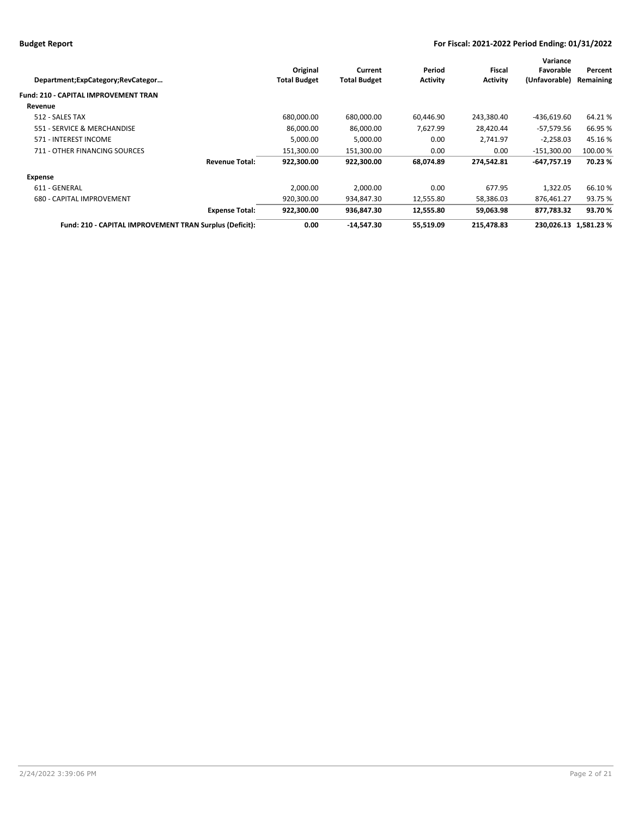| Department;ExpCategory;RevCategor                       |                       | Original<br><b>Total Budget</b> | Current<br><b>Total Budget</b> | Period<br><b>Activity</b> | Fiscal<br><b>Activity</b> | Variance<br>Favorable<br>(Unfavorable) | Percent<br>Remaining |
|---------------------------------------------------------|-----------------------|---------------------------------|--------------------------------|---------------------------|---------------------------|----------------------------------------|----------------------|
| <b>Fund: 210 - CAPITAL IMPROVEMENT TRAN</b>             |                       |                                 |                                |                           |                           |                                        |                      |
| Revenue                                                 |                       |                                 |                                |                           |                           |                                        |                      |
| 512 - SALES TAX                                         |                       | 680,000.00                      | 680,000.00                     | 60,446.90                 | 243,380.40                | $-436,619.60$                          | 64.21%               |
| 551 - SERVICE & MERCHANDISE                             |                       | 86,000.00                       | 86,000.00                      | 7,627.99                  | 28,420.44                 | $-57,579.56$                           | 66.95 %              |
| 571 - INTEREST INCOME                                   |                       | 5,000.00                        | 5,000.00                       | 0.00                      | 2,741.97                  | $-2,258.03$                            | 45.16%               |
| 711 - OTHER FINANCING SOURCES                           |                       | 151,300.00                      | 151,300.00                     | 0.00                      | 0.00                      | -151,300.00                            | 100.00 %             |
|                                                         | <b>Revenue Total:</b> | 922.300.00                      | 922.300.00                     | 68,074.89                 | 274.542.81                | $-647,757.19$                          | 70.23%               |
| Expense                                                 |                       |                                 |                                |                           |                           |                                        |                      |
| 611 - GENERAL                                           |                       | 2,000.00                        | 2,000.00                       | 0.00                      | 677.95                    | 1,322.05                               | 66.10%               |
| 680 - CAPITAL IMPROVEMENT                               |                       | 920,300.00                      | 934,847.30                     | 12,555.80                 | 58,386.03                 | 876,461.27                             | 93.75 %              |
|                                                         | <b>Expense Total:</b> | 922,300.00                      | 936,847.30                     | 12,555.80                 | 59,063.98                 | 877,783.32                             | 93.70%               |
| Fund: 210 - CAPITAL IMPROVEMENT TRAN Surplus (Deficit): |                       | 0.00                            | -14,547.30                     | 55,519.09                 | 215,478.83                | 230,026.13 1,581.23 %                  |                      |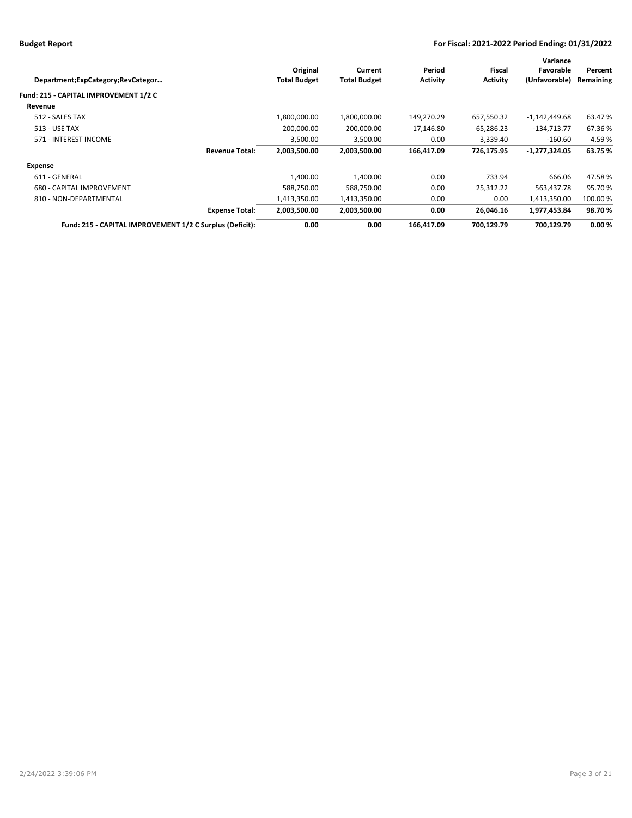|                     |                                                                                                            |                 |                 | Variance        |           |
|---------------------|------------------------------------------------------------------------------------------------------------|-----------------|-----------------|-----------------|-----------|
| Original            | Current                                                                                                    | Period          | Fiscal          | Favorable       | Percent   |
| <b>Total Budget</b> | <b>Total Budget</b>                                                                                        | <b>Activity</b> | <b>Activity</b> | (Unfavorable)   | Remaining |
|                     |                                                                                                            |                 |                 |                 |           |
|                     |                                                                                                            |                 |                 |                 |           |
| 1,800,000.00        | 1,800,000.00                                                                                               | 149,270.29      | 657,550.32      | $-1,142,449.68$ | 63.47 %   |
| 200.000.00          | 200,000.00                                                                                                 | 17,146.80       | 65,286.23       | $-134,713.77$   | 67.36%    |
| 3,500.00            | 3,500.00                                                                                                   | 0.00            | 3,339.40        | $-160.60$       | 4.59%     |
| 2,003,500.00        | 2,003,500.00                                                                                               | 166,417.09      | 726.175.95      | -1,277,324.05   | 63.75 %   |
|                     |                                                                                                            |                 |                 |                 |           |
| 1.400.00            | 1.400.00                                                                                                   | 0.00            | 733.94          | 666.06          | 47.58%    |
| 588,750.00          | 588,750.00                                                                                                 | 0.00            | 25,312.22       | 563,437.78      | 95.70%    |
| 1,413,350.00        | 1,413,350.00                                                                                               | 0.00            | 0.00            | 1,413,350.00    | 100.00 %  |
| 2,003,500.00        | 2,003,500.00                                                                                               | 0.00            | 26,046.16       | 1,977,453.84    | 98.70%    |
| 0.00                | 0.00                                                                                                       | 166.417.09      | 700.129.79      | 700.129.79      | 0.00%     |
|                     | <b>Revenue Total:</b><br><b>Expense Total:</b><br>Fund: 215 - CAPITAL IMPROVEMENT 1/2 C Surplus (Deficit): |                 |                 |                 |           |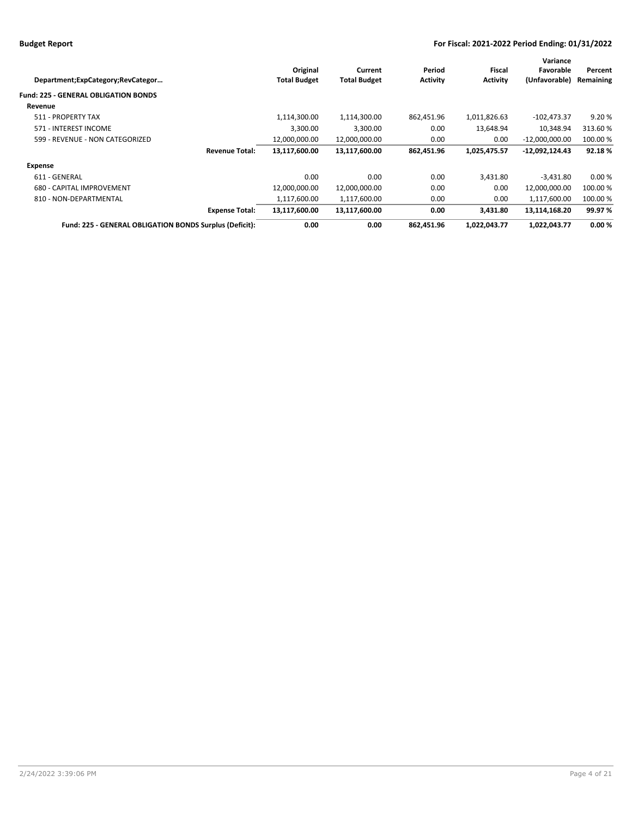| Department;ExpCategory;RevCategor                       | Original<br><b>Total Budget</b> | Current<br><b>Total Budget</b> | Period<br><b>Activity</b> | Fiscal<br><b>Activity</b> | Variance<br>Favorable<br>(Unfavorable) | Percent<br>Remaining |
|---------------------------------------------------------|---------------------------------|--------------------------------|---------------------------|---------------------------|----------------------------------------|----------------------|
| <b>Fund: 225 - GENERAL OBLIGATION BONDS</b>             |                                 |                                |                           |                           |                                        |                      |
| Revenue                                                 |                                 |                                |                           |                           |                                        |                      |
| 511 - PROPERTY TAX                                      | 1,114,300.00                    | 1,114,300.00                   | 862,451.96                | 1,011,826.63              | $-102,473.37$                          | 9.20%                |
| 571 - INTEREST INCOME                                   | 3,300.00                        | 3,300.00                       | 0.00                      | 13,648.94                 | 10,348.94                              | 313.60%              |
| 599 - REVENUE - NON CATEGORIZED                         | 12,000,000.00                   | 12,000,000.00                  | 0.00                      | 0.00                      | $-12,000,000.00$                       | 100.00 %             |
| <b>Revenue Total:</b>                                   | 13,117,600.00                   | 13,117,600.00                  | 862,451.96                | 1,025,475.57              | $-12,092,124.43$                       | 92.18%               |
| Expense                                                 |                                 |                                |                           |                           |                                        |                      |
| 611 - GENERAL                                           | 0.00                            | 0.00                           | 0.00                      | 3,431.80                  | $-3,431.80$                            | 0.00%                |
| 680 - CAPITAL IMPROVEMENT                               | 12,000,000.00                   | 12,000,000.00                  | 0.00                      | 0.00                      | 12,000,000.00                          | 100.00 %             |
| 810 - NON-DEPARTMENTAL                                  | 1,117,600.00                    | 1,117,600.00                   | 0.00                      | 0.00                      | 1,117,600.00                           | 100.00%              |
| <b>Expense Total:</b>                                   | 13,117,600.00                   | 13,117,600.00                  | 0.00                      | 3.431.80                  | 13,114,168.20                          | 99.97 %              |
| Fund: 225 - GENERAL OBLIGATION BONDS Surplus (Deficit): | 0.00                            | 0.00                           | 862,451.96                | 1,022,043.77              | 1,022,043.77                           | 0.00%                |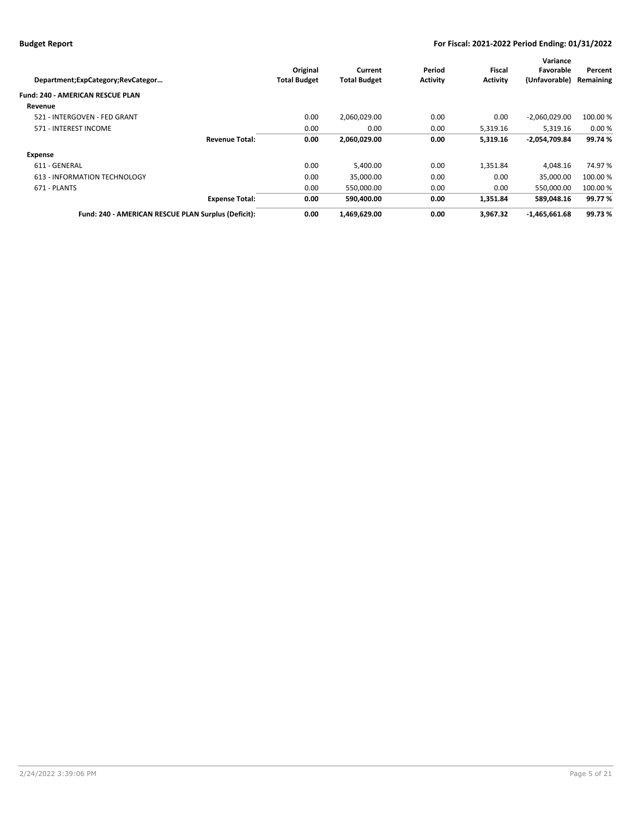|                     |                                                                                                       |                 |                 | Variance        |           |
|---------------------|-------------------------------------------------------------------------------------------------------|-----------------|-----------------|-----------------|-----------|
| Original            | Current                                                                                               | Period          | Fiscal          | Favorable       | Percent   |
| <b>Total Budget</b> | <b>Total Budget</b>                                                                                   | <b>Activity</b> | <b>Activity</b> | (Unfavorable)   | Remaining |
|                     |                                                                                                       |                 |                 |                 |           |
|                     |                                                                                                       |                 |                 |                 |           |
| 0.00                | 2,060,029.00                                                                                          | 0.00            | 0.00            | $-2,060,029.00$ | 100.00 %  |
| 0.00                | 0.00                                                                                                  | 0.00            | 5,319.16        | 5.319.16        | 0.00%     |
| 0.00                | 2,060,029.00                                                                                          | 0.00            | 5,319.16        | -2,054,709.84   | 99.74%    |
|                     |                                                                                                       |                 |                 |                 |           |
| 0.00                | 5,400.00                                                                                              | 0.00            | 1,351.84        | 4.048.16        | 74.97%    |
| 0.00                | 35.000.00                                                                                             | 0.00            | 0.00            | 35.000.00       | 100.00 %  |
| 0.00                | 550,000.00                                                                                            | 0.00            | 0.00            | 550,000.00      | 100.00 %  |
| 0.00                | 590,400.00                                                                                            | 0.00            | 1,351.84        | 589,048.16      | 99.77%    |
| 0.00                | 1,469,629.00                                                                                          | 0.00            | 3.967.32        | $-1,465,661.68$ | 99.73%    |
|                     | <b>Revenue Total:</b><br><b>Expense Total:</b><br>Fund: 240 - AMERICAN RESCUE PLAN Surplus (Deficit): |                 |                 |                 |           |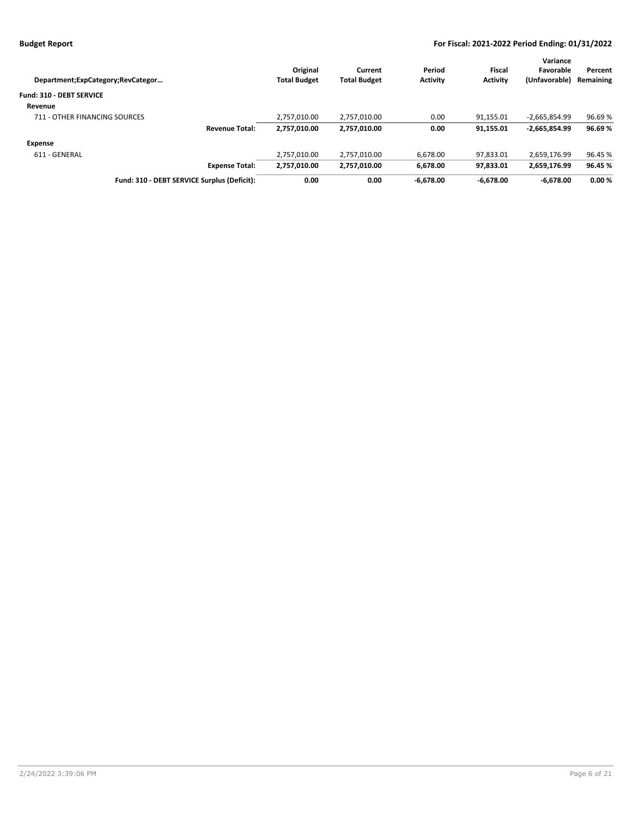|                     |                                                                                               |                 |                 | Variance        |           |
|---------------------|-----------------------------------------------------------------------------------------------|-----------------|-----------------|-----------------|-----------|
| Original            | Current                                                                                       | Period          | Fiscal          | Favorable       | Percent   |
| <b>Total Budget</b> | <b>Total Budget</b>                                                                           | <b>Activity</b> | <b>Activity</b> | (Unfavorable)   | Remaining |
|                     |                                                                                               |                 |                 |                 |           |
|                     |                                                                                               |                 |                 |                 |           |
| 2,757,010.00        | 2,757,010.00                                                                                  | 0.00            | 91,155.01       | $-2,665,854.99$ | 96.69%    |
| 2,757,010.00        | 2,757,010.00                                                                                  | 0.00            | 91,155.01       | $-2,665,854.99$ | 96.69%    |
|                     |                                                                                               |                 |                 |                 |           |
| 2.757.010.00        | 2,757,010.00                                                                                  | 6.678.00        | 97.833.01       | 2.659.176.99    | 96.45 %   |
| 2.757.010.00        | 2,757,010.00                                                                                  | 6.678.00        | 97.833.01       | 2,659,176.99    | 96.45 %   |
| 0.00                | 0.00                                                                                          | $-6.678.00$     | $-6.678.00$     | $-6.678.00$     | 0.00%     |
|                     | <b>Revenue Total:</b><br><b>Expense Total:</b><br>Fund: 310 - DEBT SERVICE Surplus (Deficit): |                 |                 |                 |           |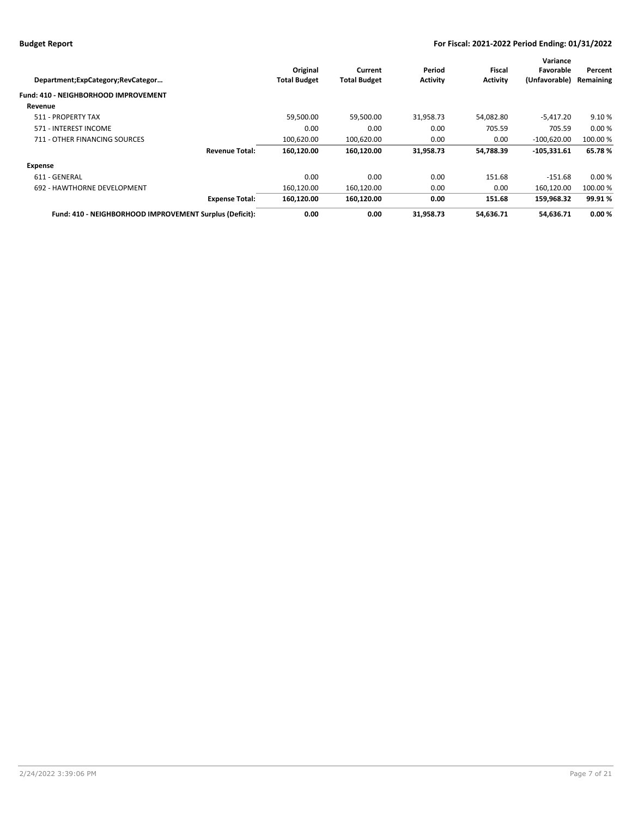| Department;ExpCategory;RevCategor                       | Original<br><b>Total Budget</b> | Current<br><b>Total Budget</b> | Period<br><b>Activity</b> | Fiscal<br><b>Activity</b> | Variance<br>Favorable<br>(Unfavorable) | Percent<br>Remaining |
|---------------------------------------------------------|---------------------------------|--------------------------------|---------------------------|---------------------------|----------------------------------------|----------------------|
| Fund: 410 - NEIGHBORHOOD IMPROVEMENT                    |                                 |                                |                           |                           |                                        |                      |
| Revenue                                                 |                                 |                                |                           |                           |                                        |                      |
| 511 - PROPERTY TAX                                      | 59,500.00                       | 59,500.00                      | 31,958.73                 | 54,082.80                 | $-5,417.20$                            | 9.10%                |
| 571 - INTEREST INCOME                                   | 0.00                            | 0.00                           | 0.00                      | 705.59                    | 705.59                                 | 0.00%                |
| 711 - OTHER FINANCING SOURCES                           | 100,620.00                      | 100,620.00                     | 0.00                      | 0.00                      | $-100,620.00$                          | 100.00 %             |
| <b>Revenue Total:</b>                                   | 160,120.00                      | 160,120.00                     | 31,958.73                 | 54,788.39                 | $-105,331.61$                          | 65.78%               |
| <b>Expense</b>                                          |                                 |                                |                           |                           |                                        |                      |
| 611 - GENERAL                                           | 0.00                            | 0.00                           | 0.00                      | 151.68                    | $-151.68$                              | 0.00%                |
| 692 - HAWTHORNE DEVELOPMENT                             | 160.120.00                      | 160,120.00                     | 0.00                      | 0.00                      | 160.120.00                             | 100.00 %             |
| <b>Expense Total:</b>                                   | 160,120.00                      | 160,120.00                     | 0.00                      | 151.68                    | 159,968.32                             | 99.91%               |
| Fund: 410 - NEIGHBORHOOD IMPROVEMENT Surplus (Deficit): | 0.00                            | 0.00                           | 31,958.73                 | 54,636.71                 | 54.636.71                              | 0.00%                |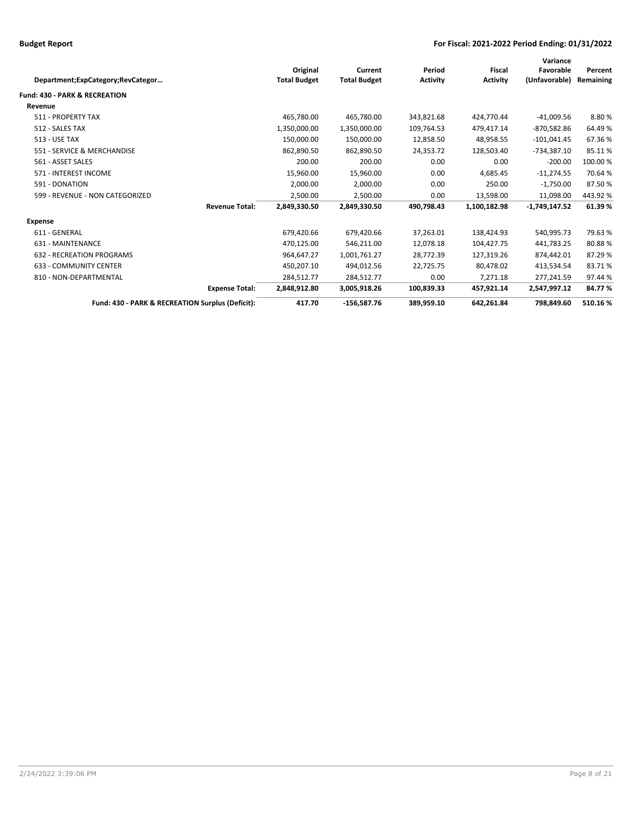| Department;ExpCategory;RevCategor                |                       | Original<br><b>Total Budget</b> | Current<br><b>Total Budget</b> | Period<br><b>Activity</b> | <b>Fiscal</b><br><b>Activity</b> | Variance<br>Favorable<br>(Unfavorable) | Percent<br>Remaining |
|--------------------------------------------------|-----------------------|---------------------------------|--------------------------------|---------------------------|----------------------------------|----------------------------------------|----------------------|
| <b>Fund: 430 - PARK &amp; RECREATION</b>         |                       |                                 |                                |                           |                                  |                                        |                      |
| Revenue                                          |                       |                                 |                                |                           |                                  |                                        |                      |
| 511 - PROPERTY TAX                               |                       | 465,780.00                      | 465,780.00                     | 343,821.68                | 424,770.44                       | $-41,009.56$                           | 8.80%                |
| 512 - SALES TAX                                  |                       | 1,350,000.00                    | 1,350,000.00                   | 109,764.53                | 479,417.14                       | $-870,582.86$                          | 64.49%               |
| <b>513 - USE TAX</b>                             |                       | 150,000.00                      | 150,000.00                     | 12,858.50                 | 48,958.55                        | $-101,041.45$                          | 67.36%               |
| 551 - SERVICE & MERCHANDISE                      |                       | 862.890.50                      | 862.890.50                     | 24.353.72                 | 128.503.40                       | $-734.387.10$                          | 85.11%               |
| 561 - ASSET SALES                                |                       | 200.00                          | 200.00                         | 0.00                      | 0.00                             | $-200.00$                              | 100.00%              |
| 571 - INTEREST INCOME                            |                       | 15,960.00                       | 15,960.00                      | 0.00                      | 4,685.45                         | $-11,274.55$                           | 70.64%               |
| 591 - DONATION                                   |                       | 2,000.00                        | 2,000.00                       | 0.00                      | 250.00                           | $-1,750.00$                            | 87.50%               |
| 599 - REVENUE - NON CATEGORIZED                  |                       | 2,500.00                        | 2,500.00                       | 0.00                      | 13,598.00                        | 11.098.00                              | 443.92%              |
|                                                  | <b>Revenue Total:</b> | 2,849,330.50                    | 2,849,330.50                   | 490,798.43                | 1,100,182.98                     | $-1,749,147.52$                        | 61.39%               |
| <b>Expense</b>                                   |                       |                                 |                                |                           |                                  |                                        |                      |
| 611 - GENERAL                                    |                       | 679,420.66                      | 679,420.66                     | 37,263.01                 | 138,424.93                       | 540,995.73                             | 79.63%               |
| 631 - MAINTENANCE                                |                       | 470,125.00                      | 546,211.00                     | 12,078.18                 | 104,427.75                       | 441,783.25                             | 80.88%               |
| <b>632 - RECREATION PROGRAMS</b>                 |                       | 964,647.27                      | 1,001,761.27                   | 28,772.39                 | 127,319.26                       | 874,442.01                             | 87.29%               |
| <b>633 - COMMUNITY CENTER</b>                    |                       | 450,207.10                      | 494,012.56                     | 22,725.75                 | 80,478.02                        | 413,534.54                             | 83.71%               |
| 810 - NON-DEPARTMENTAL                           |                       | 284,512.77                      | 284,512.77                     | 0.00                      | 7.271.18                         | 277.241.59                             | 97.44 %              |
|                                                  | <b>Expense Total:</b> | 2,848,912.80                    | 3,005,918.26                   | 100,839.33                | 457,921.14                       | 2,547,997.12                           | 84.77%               |
| Fund: 430 - PARK & RECREATION Surplus (Deficit): |                       | 417.70                          | $-156,587.76$                  | 389,959.10                | 642,261.84                       | 798,849.60                             | 510.16%              |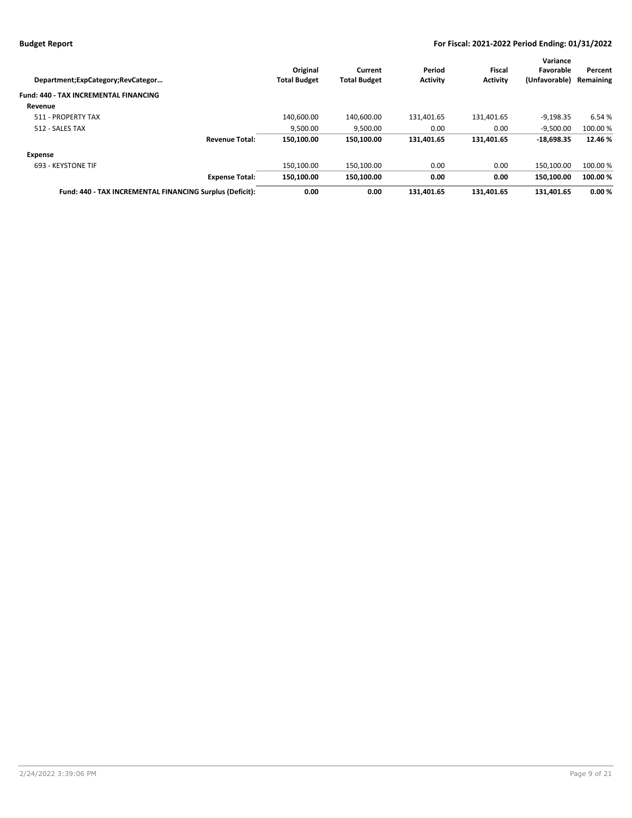|                                                          |                     |                     |                 |                 | Variance      |           |
|----------------------------------------------------------|---------------------|---------------------|-----------------|-----------------|---------------|-----------|
|                                                          | Original            | Current             | Period          | Fiscal          | Favorable     | Percent   |
| Department; ExpCategory; RevCategor                      | <b>Total Budget</b> | <b>Total Budget</b> | <b>Activity</b> | <b>Activity</b> | (Unfavorable) | Remaining |
| <b>Fund: 440 - TAX INCREMENTAL FINANCING</b>             |                     |                     |                 |                 |               |           |
| Revenue                                                  |                     |                     |                 |                 |               |           |
| 511 - PROPERTY TAX                                       | 140.600.00          | 140.600.00          | 131,401.65      | 131.401.65      | $-9,198.35$   | 6.54 %    |
| 512 - SALES TAX                                          | 9,500.00            | 9,500.00            | 0.00            | 0.00            | $-9,500.00$   | 100.00 %  |
| <b>Revenue Total:</b>                                    | 150.100.00          | 150,100.00          | 131,401.65      | 131,401.65      | $-18,698.35$  | 12.46 %   |
| Expense                                                  |                     |                     |                 |                 |               |           |
| 693 - KEYSTONE TIF                                       | 150.100.00          | 150.100.00          | 0.00            | 0.00            | 150.100.00    | 100.00 %  |
| <b>Expense Total:</b>                                    | 150.100.00          | 150.100.00          | 0.00            | 0.00            | 150.100.00    | 100.00 %  |
| Fund: 440 - TAX INCREMENTAL FINANCING Surplus (Deficit): | 0.00                | 0.00                | 131.401.65      | 131.401.65      | 131.401.65    | 0.00%     |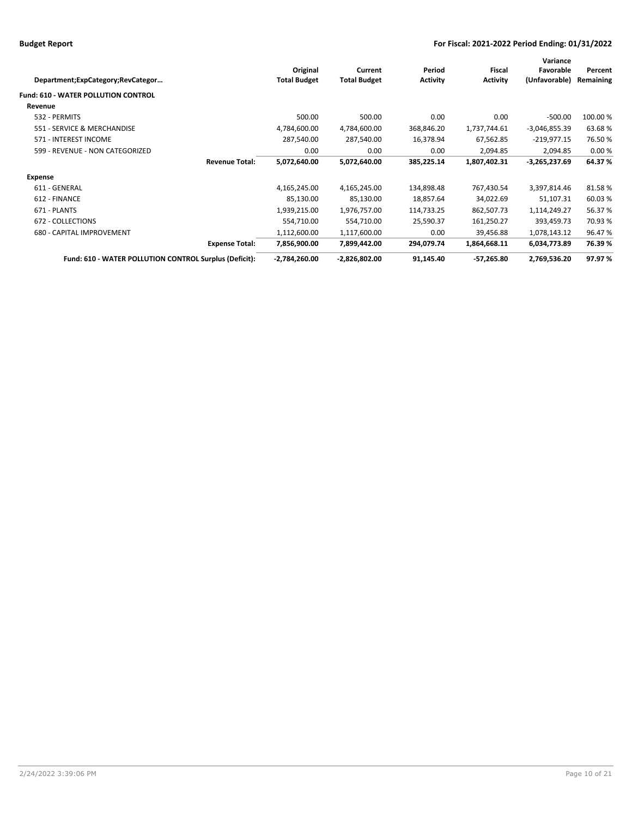| Department;ExpCategory;RevCategor                      |                       | Original<br><b>Total Budget</b> | Current<br><b>Total Budget</b> | Period<br><b>Activity</b> | <b>Fiscal</b><br><b>Activity</b> | Variance<br>Favorable<br>(Unfavorable) | Percent<br>Remaining |
|--------------------------------------------------------|-----------------------|---------------------------------|--------------------------------|---------------------------|----------------------------------|----------------------------------------|----------------------|
| <b>Fund: 610 - WATER POLLUTION CONTROL</b>             |                       |                                 |                                |                           |                                  |                                        |                      |
| Revenue                                                |                       |                                 |                                |                           |                                  |                                        |                      |
| 532 - PERMITS                                          |                       | 500.00                          | 500.00                         | 0.00                      | 0.00                             | $-500.00$                              | 100.00%              |
| 551 - SERVICE & MERCHANDISE                            |                       | 4,784,600.00                    | 4,784,600.00                   | 368,846.20                | 1,737,744.61                     | $-3,046,855.39$                        | 63.68%               |
| 571 - INTEREST INCOME                                  |                       | 287,540.00                      | 287,540.00                     | 16,378.94                 | 67,562.85                        | $-219,977.15$                          | 76.50%               |
| 599 - REVENUE - NON CATEGORIZED                        |                       | 0.00                            | 0.00                           | 0.00                      | 2,094.85                         | 2,094.85                               | 0.00%                |
|                                                        | <b>Revenue Total:</b> | 5,072,640.00                    | 5,072,640.00                   | 385,225.14                | 1,807,402.31                     | $-3,265,237.69$                        | 64.37%               |
| Expense                                                |                       |                                 |                                |                           |                                  |                                        |                      |
| 611 - GENERAL                                          |                       | 4,165,245.00                    | 4,165,245.00                   | 134,898.48                | 767,430.54                       | 3,397,814.46                           | 81.58%               |
| 612 - FINANCE                                          |                       | 85,130.00                       | 85,130.00                      | 18,857.64                 | 34,022.69                        | 51,107.31                              | 60.03%               |
| 671 - PLANTS                                           |                       | 1,939,215.00                    | 1,976,757.00                   | 114,733.25                | 862,507.73                       | 1,114,249.27                           | 56.37%               |
| 672 - COLLECTIONS                                      |                       | 554,710.00                      | 554,710.00                     | 25,590.37                 | 161,250.27                       | 393,459.73                             | 70.93 %              |
| 680 - CAPITAL IMPROVEMENT                              |                       | 1,112,600.00                    | 1,117,600.00                   | 0.00                      | 39,456.88                        | 1,078,143.12                           | 96.47%               |
|                                                        | <b>Expense Total:</b> | 7,856,900.00                    | 7,899,442.00                   | 294,079.74                | 1,864,668.11                     | 6,034,773.89                           | 76.39%               |
| Fund: 610 - WATER POLLUTION CONTROL Surplus (Deficit): |                       | $-2,784,260.00$                 | $-2,826,802.00$                | 91,145.40                 | $-57,265.80$                     | 2,769,536.20                           | 97.97%               |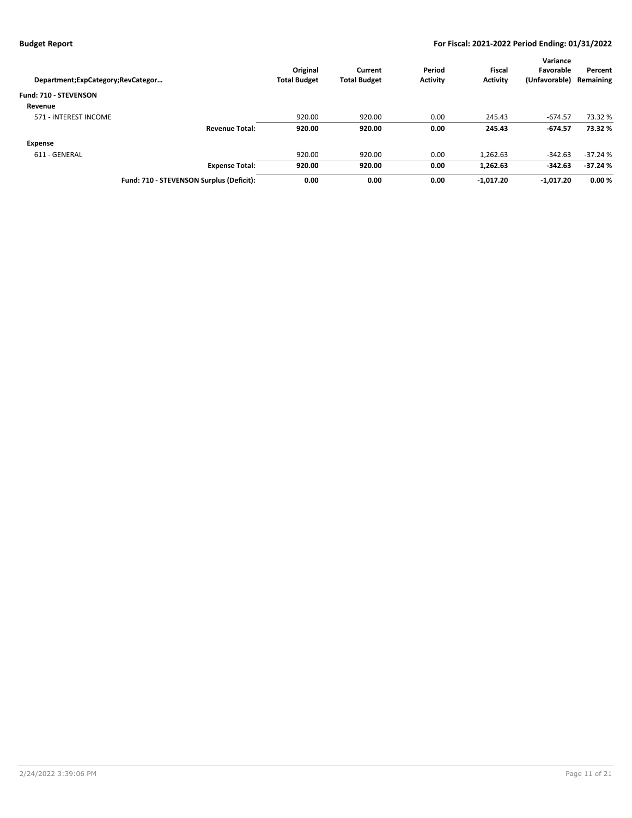| Department; ExpCategory; RevCategor      |                       | Original<br><b>Total Budget</b> | Current<br><b>Total Budget</b> | Period<br><b>Activity</b> | <b>Fiscal</b><br><b>Activity</b> | Variance<br>Favorable<br>(Unfavorable) | Percent<br>Remaining |
|------------------------------------------|-----------------------|---------------------------------|--------------------------------|---------------------------|----------------------------------|----------------------------------------|----------------------|
| Fund: 710 - STEVENSON                    |                       |                                 |                                |                           |                                  |                                        |                      |
| Revenue                                  |                       |                                 |                                |                           |                                  |                                        |                      |
| 571 - INTEREST INCOME                    |                       | 920.00                          | 920.00                         | 0.00                      | 245.43                           | $-674.57$                              | 73.32 %              |
|                                          | <b>Revenue Total:</b> | 920.00                          | 920.00                         | 0.00                      | 245.43                           | $-674.57$                              | 73.32 %              |
| Expense                                  |                       |                                 |                                |                           |                                  |                                        |                      |
| 611 - GENERAL                            |                       | 920.00                          | 920.00                         | 0.00                      | 1.262.63                         | $-342.63$                              | $-37.24%$            |
|                                          | <b>Expense Total:</b> | 920.00                          | 920.00                         | 0.00                      | 1,262.63                         | $-342.63$                              | $-37.24%$            |
| Fund: 710 - STEVENSON Surplus (Deficit): |                       | 0.00                            | 0.00                           | 0.00                      | $-1.017.20$                      | $-1.017.20$                            | 0.00%                |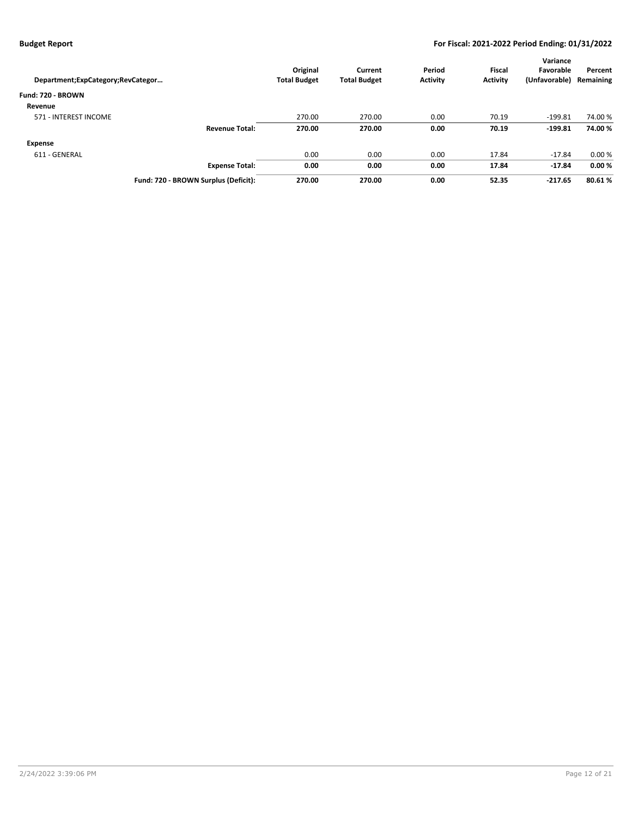| Department;ExpCategory;RevCategor    | Original<br><b>Total Budget</b> | Current<br><b>Total Budget</b> | Period<br><b>Activity</b> | <b>Fiscal</b><br><b>Activity</b> | Variance<br>Favorable<br>(Unfavorable) | Percent<br>Remaining |
|--------------------------------------|---------------------------------|--------------------------------|---------------------------|----------------------------------|----------------------------------------|----------------------|
| Fund: 720 - BROWN                    |                                 |                                |                           |                                  |                                        |                      |
| Revenue                              |                                 |                                |                           |                                  |                                        |                      |
| 571 - INTEREST INCOME                | 270.00                          | 270.00                         | 0.00                      | 70.19                            | $-199.81$                              | 74.00 %              |
| <b>Revenue Total:</b>                | 270.00                          | 270.00                         | 0.00                      | 70.19                            | $-199.81$                              | 74.00%               |
| Expense                              |                                 |                                |                           |                                  |                                        |                      |
| 611 - GENERAL                        | 0.00                            | 0.00                           | 0.00                      | 17.84                            | $-17.84$                               | 0.00%                |
| <b>Expense Total:</b>                | 0.00                            | 0.00                           | 0.00                      | 17.84                            | $-17.84$                               | 0.00%                |
| Fund: 720 - BROWN Surplus (Deficit): | 270.00                          | 270.00                         | 0.00                      | 52.35                            | $-217.65$                              | 80.61%               |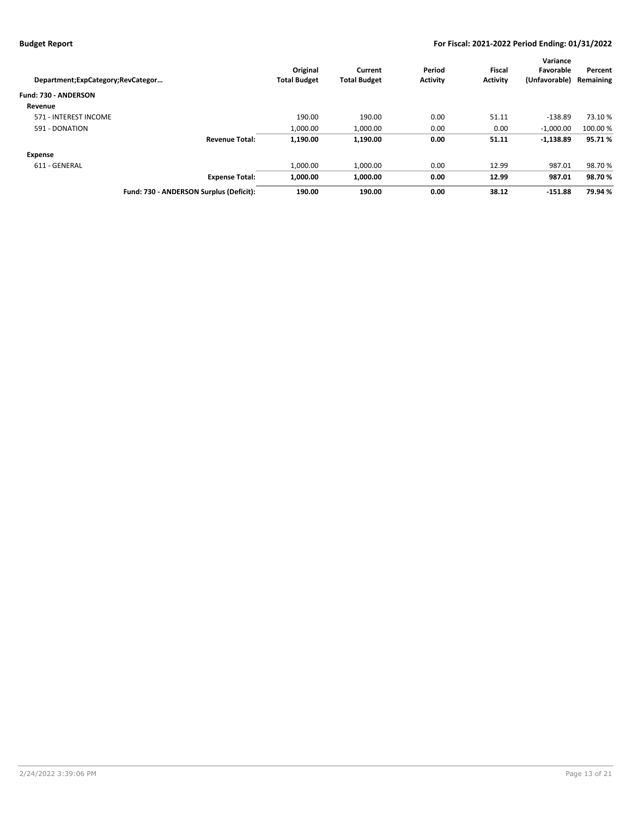|                                         |                       |                     |                     |                 |                 | Variance      |           |
|-----------------------------------------|-----------------------|---------------------|---------------------|-----------------|-----------------|---------------|-----------|
|                                         |                       | Original            | Current             | Period          | <b>Fiscal</b>   | Favorable     | Percent   |
| Department;ExpCategory;RevCategor       |                       | <b>Total Budget</b> | <b>Total Budget</b> | <b>Activity</b> | <b>Activity</b> | (Unfavorable) | Remaining |
| Fund: 730 - ANDERSON                    |                       |                     |                     |                 |                 |               |           |
| Revenue                                 |                       |                     |                     |                 |                 |               |           |
| 571 - INTEREST INCOME                   |                       | 190.00              | 190.00              | 0.00            | 51.11           | $-138.89$     | 73.10 %   |
| 591 - DONATION                          |                       | 1.000.00            | 1,000.00            | 0.00            | 0.00            | $-1,000.00$   | 100.00 %  |
|                                         | <b>Revenue Total:</b> | 1,190.00            | 1,190.00            | 0.00            | 51.11           | $-1,138.89$   | 95.71%    |
| Expense                                 |                       |                     |                     |                 |                 |               |           |
| 611 - GENERAL                           |                       | 1.000.00            | 1,000.00            | 0.00            | 12.99           | 987.01        | 98.70%    |
|                                         | <b>Expense Total:</b> | 1.000.00            | 1,000.00            | 0.00            | 12.99           | 987.01        | 98.70%    |
| Fund: 730 - ANDERSON Surplus (Deficit): |                       | 190.00              | 190.00              | 0.00            | 38.12           | $-151.88$     | 79.94 %   |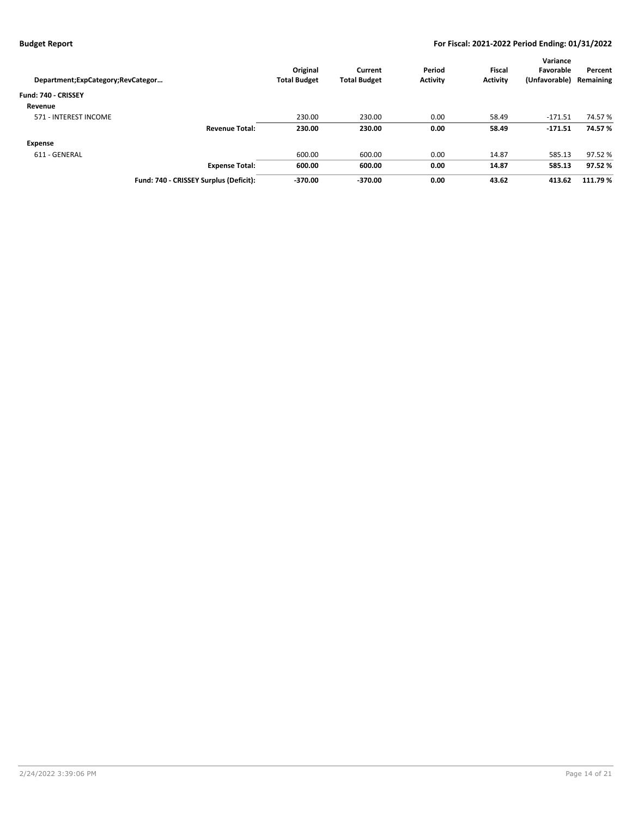| Department;ExpCategory;RevCategor      | Original<br><b>Total Budget</b> | Current<br><b>Total Budget</b> | Period<br><b>Activity</b> | <b>Fiscal</b><br><b>Activity</b> | Variance<br>Favorable<br>(Unfavorable) | Percent<br>Remaining |
|----------------------------------------|---------------------------------|--------------------------------|---------------------------|----------------------------------|----------------------------------------|----------------------|
| Fund: 740 - CRISSEY                    |                                 |                                |                           |                                  |                                        |                      |
| Revenue                                |                                 |                                |                           |                                  |                                        |                      |
| 571 - INTEREST INCOME                  | 230.00                          | 230.00                         | 0.00                      | 58.49                            | $-171.51$                              | 74.57 %              |
| <b>Revenue Total:</b>                  | 230.00                          | 230.00                         | 0.00                      | 58.49                            | $-171.51$                              | 74.57 %              |
| Expense                                |                                 |                                |                           |                                  |                                        |                      |
| 611 - GENERAL                          | 600.00                          | 600.00                         | 0.00                      | 14.87                            | 585.13                                 | 97.52 %              |
| <b>Expense Total:</b>                  | 600.00                          | 600.00                         | 0.00                      | 14.87                            | 585.13                                 | 97.52%               |
| Fund: 740 - CRISSEY Surplus (Deficit): | $-370.00$                       | $-370.00$                      | 0.00                      | 43.62                            | 413.62                                 | 111.79 %             |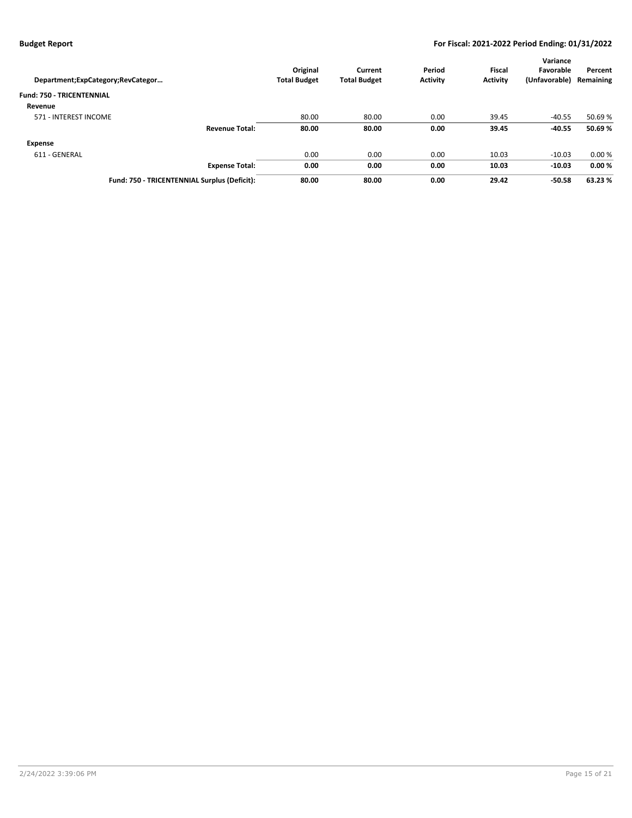| Department;ExpCategory;RevCategor            | Original<br><b>Total Budget</b> | Current<br><b>Total Budget</b> | Period<br><b>Activity</b> | <b>Fiscal</b><br><b>Activity</b> | Variance<br>Favorable<br>(Unfavorable) | Percent<br>Remaining |
|----------------------------------------------|---------------------------------|--------------------------------|---------------------------|----------------------------------|----------------------------------------|----------------------|
| <b>Fund: 750 - TRICENTENNIAL</b>             |                                 |                                |                           |                                  |                                        |                      |
| Revenue                                      |                                 |                                |                           |                                  |                                        |                      |
| 571 - INTEREST INCOME                        | 80.00                           | 80.00                          | 0.00                      | 39.45                            | $-40.55$                               | 50.69 %              |
| <b>Revenue Total:</b>                        | 80.00                           | 80.00                          | 0.00                      | 39.45                            | $-40.55$                               | 50.69%               |
| <b>Expense</b>                               |                                 |                                |                           |                                  |                                        |                      |
| 611 - GENERAL                                | 0.00                            | 0.00                           | 0.00                      | 10.03                            | $-10.03$                               | 0.00%                |
| <b>Expense Total:</b>                        | 0.00                            | 0.00                           | 0.00                      | 10.03                            | $-10.03$                               | 0.00%                |
| Fund: 750 - TRICENTENNIAL Surplus (Deficit): | 80.00                           | 80.00                          | 0.00                      | 29.42                            | $-50.58$                               | 63.23 %              |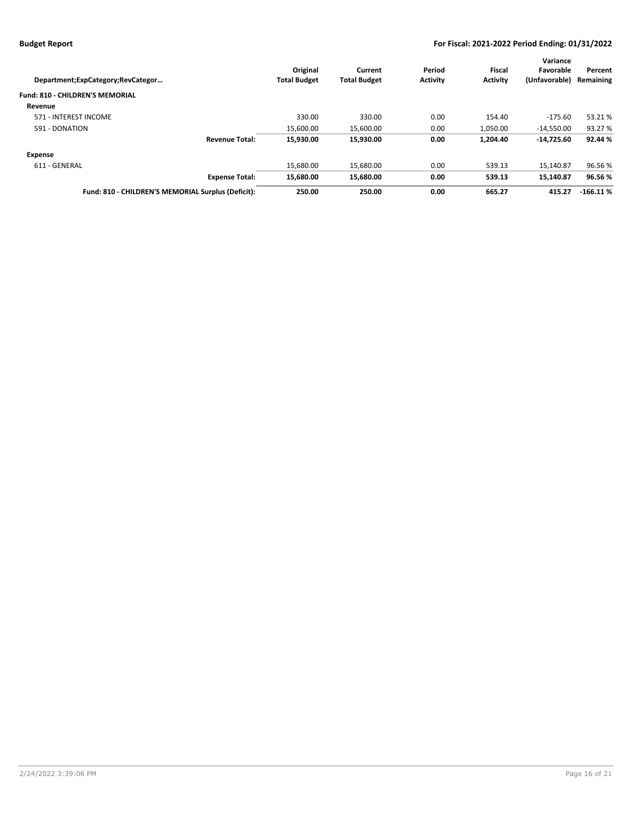|                                                    |                     |                     |                 |                 | Variance      |            |
|----------------------------------------------------|---------------------|---------------------|-----------------|-----------------|---------------|------------|
|                                                    | Original            | Current             | Period          | Fiscal          | Favorable     | Percent    |
| Department;ExpCategory;RevCategor                  | <b>Total Budget</b> | <b>Total Budget</b> | <b>Activity</b> | <b>Activity</b> | (Unfavorable) | Remaining  |
| <b>Fund: 810 - CHILDREN'S MEMORIAL</b>             |                     |                     |                 |                 |               |            |
| Revenue                                            |                     |                     |                 |                 |               |            |
| 571 - INTEREST INCOME                              | 330.00              | 330.00              | 0.00            | 154.40          | $-175.60$     | 53.21%     |
| 591 - DONATION                                     | 15.600.00           | 15,600.00           | 0.00            | 1.050.00        | $-14.550.00$  | 93.27 %    |
| <b>Revenue Total:</b>                              | 15,930.00           | 15.930.00           | 0.00            | 1.204.40        | $-14.725.60$  | 92.44 %    |
| <b>Expense</b>                                     |                     |                     |                 |                 |               |            |
| 611 - GENERAL                                      | 15.680.00           | 15.680.00           | 0.00            | 539.13          | 15.140.87     | 96.56%     |
| <b>Expense Total:</b>                              | 15,680.00           | 15.680.00           | 0.00            | 539.13          | 15,140.87     | 96.56%     |
| Fund: 810 - CHILDREN'S MEMORIAL Surplus (Deficit): | 250.00              | 250.00              | 0.00            | 665.27          | 415.27        | $-166.11%$ |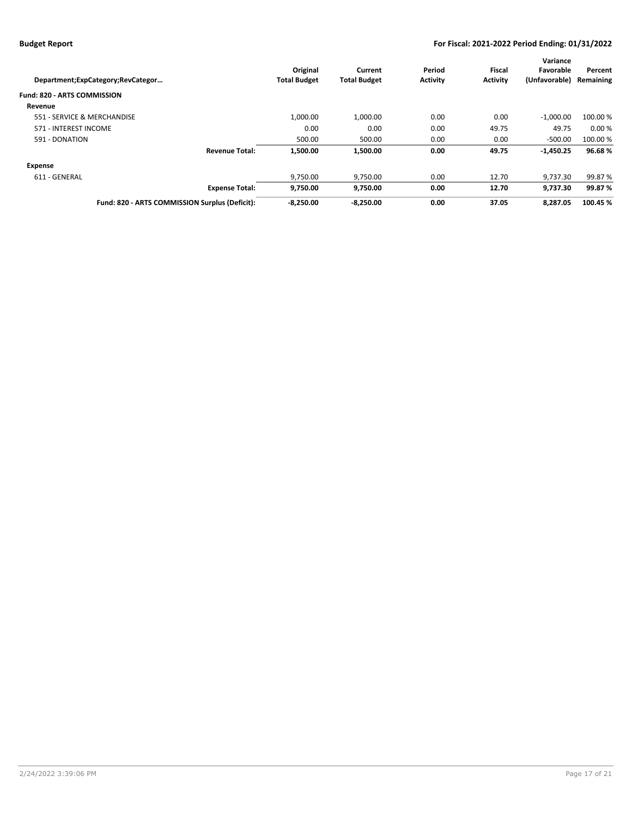|                                                |                     |                     |                 |                 | Variance      |           |
|------------------------------------------------|---------------------|---------------------|-----------------|-----------------|---------------|-----------|
|                                                | Original            | Current             | Period          | Fiscal          | Favorable     | Percent   |
| Department;ExpCategory;RevCategor              | <b>Total Budget</b> | <b>Total Budget</b> | <b>Activity</b> | <b>Activity</b> | (Unfavorable) | Remaining |
| <b>Fund: 820 - ARTS COMMISSION</b>             |                     |                     |                 |                 |               |           |
| Revenue                                        |                     |                     |                 |                 |               |           |
| 551 - SERVICE & MERCHANDISE                    | 1,000.00            | 1.000.00            | 0.00            | 0.00            | $-1,000.00$   | 100.00 %  |
| 571 - INTEREST INCOME                          | 0.00                | 0.00                | 0.00            | 49.75           | 49.75         | 0.00%     |
| 591 - DONATION                                 | 500.00              | 500.00              | 0.00            | 0.00            | $-500.00$     | 100.00 %  |
| <b>Revenue Total:</b>                          | 1.500.00            | 1.500.00            | 0.00            | 49.75           | $-1,450.25$   | 96.68%    |
| Expense                                        |                     |                     |                 |                 |               |           |
| 611 - GENERAL                                  | 9,750.00            | 9,750.00            | 0.00            | 12.70           | 9.737.30      | 99.87%    |
| <b>Expense Total:</b>                          | 9,750.00            | 9,750.00            | 0.00            | 12.70           | 9,737.30      | 99.87 %   |
| Fund: 820 - ARTS COMMISSION Surplus (Deficit): | $-8.250.00$         | $-8.250.00$         | 0.00            | 37.05           | 8.287.05      | 100.45 %  |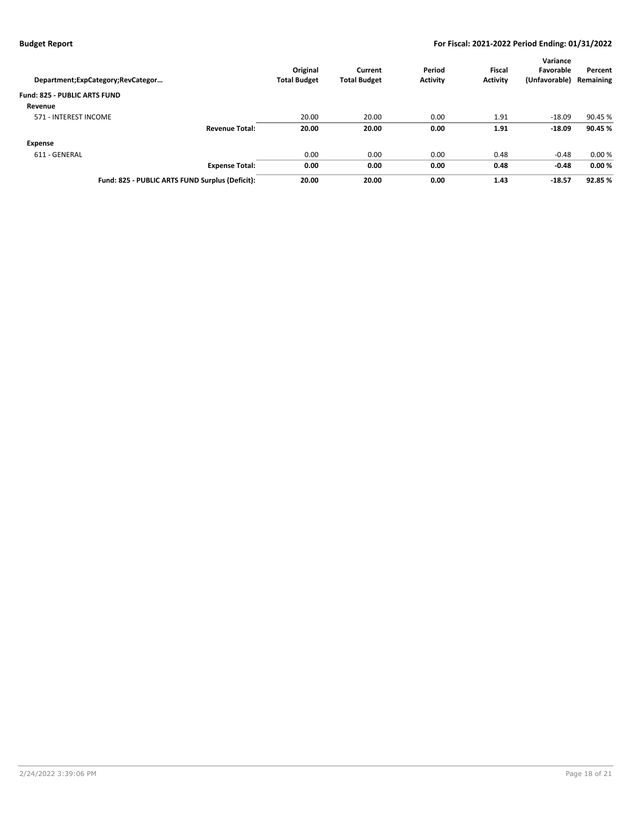| Department;ExpCategory;RevCategor               | Original<br><b>Total Budget</b> | Current<br><b>Total Budget</b> | Period<br><b>Activity</b> | <b>Fiscal</b><br><b>Activity</b> | Variance<br>Favorable<br>(Unfavorable) | Percent<br>Remaining |
|-------------------------------------------------|---------------------------------|--------------------------------|---------------------------|----------------------------------|----------------------------------------|----------------------|
| <b>Fund: 825 - PUBLIC ARTS FUND</b>             |                                 |                                |                           |                                  |                                        |                      |
| Revenue                                         |                                 |                                |                           |                                  |                                        |                      |
| 571 - INTEREST INCOME                           | 20.00                           | 20.00                          | 0.00                      | 1.91                             | $-18.09$                               | 90.45 %              |
| <b>Revenue Total:</b>                           | 20.00                           | 20.00                          | 0.00                      | 1.91                             | $-18.09$                               | 90.45 %              |
| Expense                                         |                                 |                                |                           |                                  |                                        |                      |
| 611 - GENERAL                                   | 0.00                            | 0.00                           | 0.00                      | 0.48                             | $-0.48$                                | 0.00%                |
| <b>Expense Total:</b>                           | 0.00                            | 0.00                           | 0.00                      | 0.48                             | $-0.48$                                | 0.00%                |
| Fund: 825 - PUBLIC ARTS FUND Surplus (Deficit): | 20.00                           | 20.00                          | 0.00                      | 1.43                             | $-18.57$                               | 92.85 %              |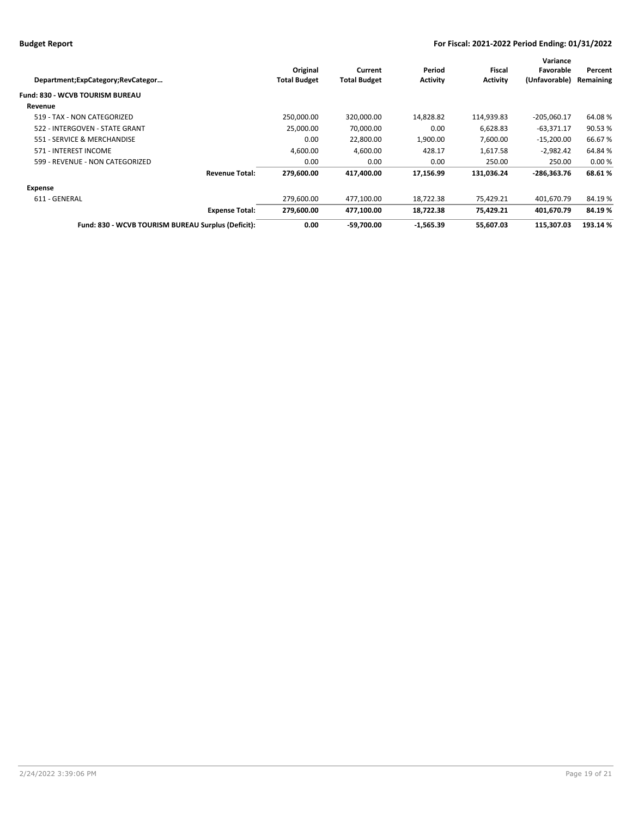|                                                    |                     |                     |                 |                 | Variance      |           |
|----------------------------------------------------|---------------------|---------------------|-----------------|-----------------|---------------|-----------|
|                                                    | Original            | Current             | Period          | Fiscal          | Favorable     | Percent   |
| Department;ExpCategory;RevCategor                  | <b>Total Budget</b> | <b>Total Budget</b> | <b>Activity</b> | <b>Activity</b> | (Unfavorable) | Remaining |
| Fund: 830 - WCVB TOURISM BUREAU                    |                     |                     |                 |                 |               |           |
| Revenue                                            |                     |                     |                 |                 |               |           |
| 519 - TAX - NON CATEGORIZED                        | 250,000.00          | 320,000.00          | 14,828.82       | 114,939.83      | $-205,060.17$ | 64.08%    |
| 522 - INTERGOVEN - STATE GRANT                     | 25.000.00           | 70,000.00           | 0.00            | 6,628.83        | $-63,371.17$  | 90.53%    |
| 551 - SERVICE & MERCHANDISE                        | 0.00                | 22,800.00           | 1,900.00        | 7,600.00        | $-15,200.00$  | 66.67%    |
| 571 - INTEREST INCOME                              | 4.600.00            | 4.600.00            | 428.17          | 1.617.58        | $-2.982.42$   | 64.84%    |
| 599 - REVENUE - NON CATEGORIZED                    | 0.00                | 0.00                | 0.00            | 250.00          | 250.00        | 0.00%     |
| <b>Revenue Total:</b>                              | 279.600.00          | 417,400.00          | 17,156.99       | 131,036.24      | -286.363.76   | 68.61%    |
| Expense                                            |                     |                     |                 |                 |               |           |
| 611 - GENERAL                                      | 279,600.00          | 477,100.00          | 18,722.38       | 75,429.21       | 401,670.79    | 84.19%    |
| <b>Expense Total:</b>                              | 279,600.00          | 477,100.00          | 18,722.38       | 75,429.21       | 401,670.79    | 84.19%    |
| Fund: 830 - WCVB TOURISM BUREAU Surplus (Deficit): | 0.00                | $-59.700.00$        | $-1.565.39$     | 55.607.03       | 115.307.03    | 193.14 %  |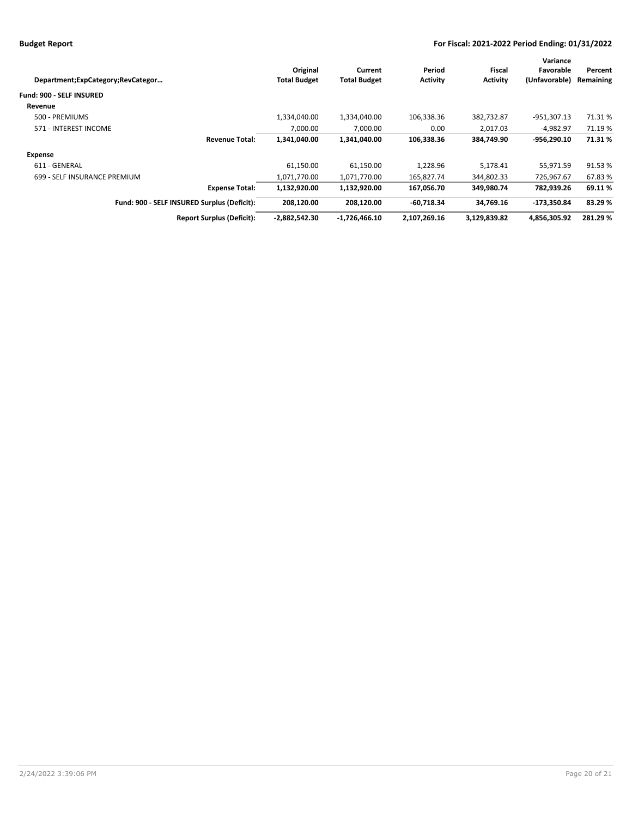|                                             |                     |                     |                 |                 | Variance      |           |
|---------------------------------------------|---------------------|---------------------|-----------------|-----------------|---------------|-----------|
|                                             | Original            | Current             | Period          | Fiscal          | Favorable     | Percent   |
| Department;ExpCategory;RevCategor           | <b>Total Budget</b> | <b>Total Budget</b> | <b>Activity</b> | <b>Activity</b> | (Unfavorable) | Remaining |
| <b>Fund: 900 - SELF INSURED</b>             |                     |                     |                 |                 |               |           |
| Revenue                                     |                     |                     |                 |                 |               |           |
| 500 - PREMIUMS                              | 1,334,040.00        | 1,334,040.00        | 106,338.36      | 382,732.87      | -951,307.13   | 71.31%    |
| 571 - INTEREST INCOME                       | 7.000.00            | 7.000.00            | 0.00            | 2,017.03        | -4.982.97     | 71.19 %   |
| <b>Revenue Total:</b>                       | 1,341,040.00        | 1,341,040.00        | 106,338.36      | 384,749.90      | $-956.290.10$ | 71.31%    |
| <b>Expense</b>                              |                     |                     |                 |                 |               |           |
| 611 - GENERAL                               | 61,150.00           | 61,150.00           | 1,228.96        | 5,178.41        | 55,971.59     | 91.53%    |
| 699 - SELF INSURANCE PREMIUM                | 1,071,770.00        | 1,071,770.00        | 165,827.74      | 344,802.33      | 726,967.67    | 67.83%    |
| <b>Expense Total:</b>                       | 1,132,920.00        | 1,132,920.00        | 167,056.70      | 349,980.74      | 782,939.26    | 69.11%    |
| Fund: 900 - SELF INSURED Surplus (Deficit): | 208.120.00          | 208.120.00          | -60.718.34      | 34.769.16       | -173.350.84   | 83.29 %   |
| <b>Report Surplus (Deficit):</b>            | $-2,882,542.30$     | $-1,726,466.10$     | 2,107,269.16    | 3,129,839.82    | 4,856,305.92  | 281.29%   |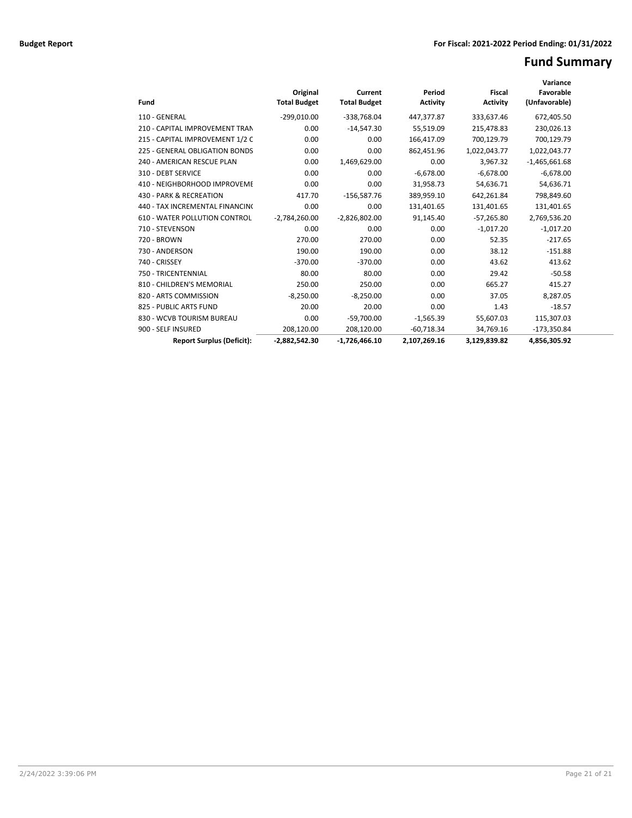# **Fund Summary**

| Fund                                 | Original<br><b>Total Budget</b> | Current<br><b>Total Budget</b> | Period<br><b>Activity</b> | <b>Fiscal</b><br><b>Activity</b> | Variance<br>Favorable<br>(Unfavorable) |  |
|--------------------------------------|---------------------------------|--------------------------------|---------------------------|----------------------------------|----------------------------------------|--|
| 110 - GENERAL                        | $-299,010.00$                   | $-338,768.04$                  | 447,377.87                | 333,637.46                       | 672,405.50                             |  |
| 210 - CAPITAL IMPROVEMENT TRAN       | 0.00                            | $-14,547.30$                   | 55,519.09                 | 215,478.83                       | 230,026.13                             |  |
| 215 - CAPITAL IMPROVEMENT 1/2 C      | 0.00                            | 0.00                           | 166,417.09                | 700,129.79                       | 700,129.79                             |  |
| 225 - GENERAL OBLIGATION BONDS       | 0.00                            | 0.00                           | 862,451.96                | 1,022,043.77                     | 1,022,043.77                           |  |
| 240 - AMERICAN RESCUE PLAN           | 0.00                            | 1,469,629.00                   | 0.00                      | 3,967.32                         | $-1,465,661.68$                        |  |
| 310 - DEBT SERVICE                   | 0.00                            | 0.00                           | $-6,678.00$               | $-6,678.00$                      | $-6,678.00$                            |  |
| 410 - NEIGHBORHOOD IMPROVEME         | 0.00                            | 0.00                           | 31,958.73                 | 54,636.71                        | 54,636.71                              |  |
| 430 - PARK & RECREATION              | 417.70                          | $-156,587.76$                  | 389,959.10                | 642,261.84                       | 798,849.60                             |  |
| 440 - TAX INCREMENTAL FINANCINO      | 0.00                            | 0.00                           | 131,401.65                | 131,401.65                       | 131,401.65                             |  |
| <b>610 - WATER POLLUTION CONTROL</b> | $-2,784,260.00$                 | $-2,826,802.00$                | 91,145.40                 | $-57,265.80$                     | 2,769,536.20                           |  |
| 710 - STEVENSON                      | 0.00                            | 0.00                           | 0.00                      | $-1,017.20$                      | $-1,017.20$                            |  |
| 720 - BROWN                          | 270.00                          | 270.00                         | 0.00                      | 52.35                            | $-217.65$                              |  |
| 730 - ANDERSON                       | 190.00                          | 190.00                         | 0.00                      | 38.12                            | $-151.88$                              |  |
| 740 - CRISSEY                        | $-370.00$                       | $-370.00$                      | 0.00                      | 43.62                            | 413.62                                 |  |
| 750 - TRICENTENNIAL                  | 80.00                           | 80.00                          | 0.00                      | 29.42                            | $-50.58$                               |  |
| 810 - CHILDREN'S MEMORIAL            | 250.00                          | 250.00                         | 0.00                      | 665.27                           | 415.27                                 |  |
| 820 - ARTS COMMISSION                | $-8,250.00$                     | $-8,250.00$                    | 0.00                      | 37.05                            | 8,287.05                               |  |
| 825 - PUBLIC ARTS FUND               | 20.00                           | 20.00                          | 0.00                      | 1.43                             | $-18.57$                               |  |
| 830 - WCVB TOURISM BUREAU            | 0.00                            | $-59,700.00$                   | $-1,565.39$               | 55,607.03                        | 115,307.03                             |  |
| 900 - SELF INSURED                   | 208,120.00                      | 208,120.00                     | $-60,718.34$              | 34,769.16                        | $-173,350.84$                          |  |
| <b>Report Surplus (Deficit):</b>     | $-2.882.542.30$                 | $-1.726.466.10$                | 2.107.269.16              | 3.129.839.82                     | 4.856.305.92                           |  |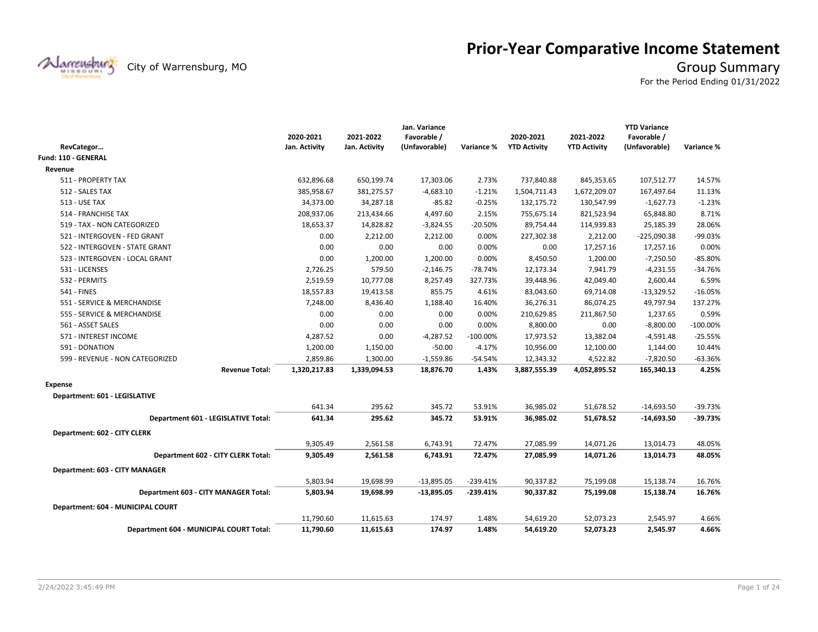

# **Prior-Year Comparative Income Statement**

City of Warrensburg, MO **Group Summary** 

For the Period Ending 01/31/2022

|                                         |               |               | Jan. Variance |             |                     |                     | <b>YTD Variance</b> |             |
|-----------------------------------------|---------------|---------------|---------------|-------------|---------------------|---------------------|---------------------|-------------|
|                                         | 2020-2021     | 2021-2022     | Favorable /   |             | 2020-2021           | 2021-2022           | Favorable /         |             |
| RevCategor                              | Jan. Activity | Jan. Activity | (Unfavorable) | Variance %  | <b>YTD Activity</b> | <b>YTD Activity</b> | (Unfavorable)       | Variance %  |
| Fund: 110 - GENERAL                     |               |               |               |             |                     |                     |                     |             |
| Revenue                                 |               |               |               |             |                     |                     |                     |             |
| 511 - PROPERTY TAX                      | 632,896.68    | 650,199.74    | 17,303.06     | 2.73%       | 737,840.88          | 845,353.65          | 107,512.77          | 14.57%      |
| 512 - SALES TAX                         | 385,958.67    | 381,275.57    | $-4,683.10$   | $-1.21%$    | 1,504,711.43        | 1,672,209.07        | 167,497.64          | 11.13%      |
| <b>513 - USE TAX</b>                    | 34,373.00     | 34,287.18     | -85.82        | $-0.25%$    | 132,175.72          | 130,547.99          | $-1,627.73$         | $-1.23%$    |
| 514 - FRANCHISE TAX                     | 208,937.06    | 213,434.66    | 4,497.60      | 2.15%       | 755,675.14          | 821,523.94          | 65,848.80           | 8.71%       |
| 519 - TAX - NON CATEGORIZED             | 18,653.37     | 14,828.82     | $-3,824.55$   | $-20.50%$   | 89,754.44           | 114,939.83          | 25,185.39           | 28.06%      |
| 521 - INTERGOVEN - FED GRANT            | 0.00          | 2,212.00      | 2,212.00      | 0.00%       | 227,302.38          | 2,212.00            | $-225,090.38$       | -99.03%     |
| 522 - INTERGOVEN - STATE GRANT          | 0.00          | 0.00          | 0.00          | 0.00%       | 0.00                | 17,257.16           | 17,257.16           | 0.00%       |
| 523 - INTERGOVEN - LOCAL GRANT          | 0.00          | 1,200.00      | 1,200.00      | 0.00%       | 8,450.50            | 1,200.00            | $-7,250.50$         | $-85.80%$   |
| 531 - LICENSES                          | 2,726.25      | 579.50        | $-2,146.75$   | $-78.74%$   | 12,173.34           | 7,941.79            | $-4,231.55$         | $-34.76%$   |
| 532 - PERMITS                           | 2,519.59      | 10,777.08     | 8,257.49      | 327.73%     | 39,448.96           | 42,049.40           | 2,600.44            | 6.59%       |
| <b>541 - FINES</b>                      | 18,557.83     | 19,413.58     | 855.75        | 4.61%       | 83,043.60           | 69,714.08           | $-13,329.52$        | $-16.05%$   |
| 551 - SERVICE & MERCHANDISE             | 7,248.00      | 8,436.40      | 1,188.40      | 16.40%      | 36,276.31           | 86,074.25           | 49,797.94           | 137.27%     |
| 555 - SERVICE & MERCHANDISE             | 0.00          | 0.00          | 0.00          | 0.00%       | 210,629.85          | 211,867.50          | 1,237.65            | 0.59%       |
| 561 - ASSET SALES                       | 0.00          | 0.00          | 0.00          | 0.00%       | 8,800.00            | 0.00                | $-8,800.00$         | $-100.00\%$ |
| 571 - INTEREST INCOME                   | 4,287.52      | 0.00          | $-4,287.52$   | $-100.00\%$ | 17,973.52           | 13,382.04           | $-4,591.48$         | $-25.55%$   |
| 591 - DONATION                          | 1,200.00      | 1,150.00      | $-50.00$      | $-4.17%$    | 10,956.00           | 12,100.00           | 1,144.00            | 10.44%      |
| 599 - REVENUE - NON CATEGORIZED         | 2,859.86      | 1,300.00      | $-1,559.86$   | $-54.54%$   | 12,343.32           | 4,522.82            | $-7,820.50$         | $-63.36%$   |
| <b>Revenue Total:</b>                   | 1,320,217.83  | 1,339,094.53  | 18,876.70     | 1.43%       | 3,887,555.39        | 4,052,895.52        | 165,340.13          | 4.25%       |
| <b>Expense</b>                          |               |               |               |             |                     |                     |                     |             |
| Department: 601 - LEGISLATIVE           |               |               |               |             |                     |                     |                     |             |
|                                         | 641.34        | 295.62        | 345.72        | 53.91%      | 36,985.02           | 51,678.52           | $-14,693.50$        | $-39.73%$   |
| Department 601 - LEGISLATIVE Total:     | 641.34        | 295.62        | 345.72        | 53.91%      | 36,985.02           | 51,678.52           | $-14,693.50$        | $-39.73%$   |
| Department: 602 - CITY CLERK            |               |               |               |             |                     |                     |                     |             |
|                                         | 9,305.49      | 2,561.58      | 6,743.91      | 72.47%      | 27,085.99           | 14,071.26           | 13,014.73           | 48.05%      |
| Department 602 - CITY CLERK Total:      | 9,305.49      | 2,561.58      | 6,743.91      | 72.47%      | 27,085.99           | 14,071.26           | 13,014.73           | 48.05%      |
| Department: 603 - CITY MANAGER          |               |               |               |             |                     |                     |                     |             |
|                                         | 5,803.94      | 19,698.99     | $-13,895.05$  | $-239.41%$  | 90,337.82           | 75,199.08           | 15,138.74           | 16.76%      |
| Department 603 - CITY MANAGER Total:    | 5,803.94      | 19,698.99     | -13,895.05    | $-239.41%$  | 90,337.82           | 75,199.08           | 15,138.74           | 16.76%      |
| Department: 604 - MUNICIPAL COURT       |               |               |               |             |                     |                     |                     |             |
|                                         | 11,790.60     | 11,615.63     | 174.97        | 1.48%       | 54,619.20           | 52,073.23           | 2,545.97            | 4.66%       |
| Department 604 - MUNICIPAL COURT Total: | 11,790.60     | 11,615.63     | 174.97        | 1.48%       | 54,619.20           | 52,073.23           | 2.545.97            | 4.66%       |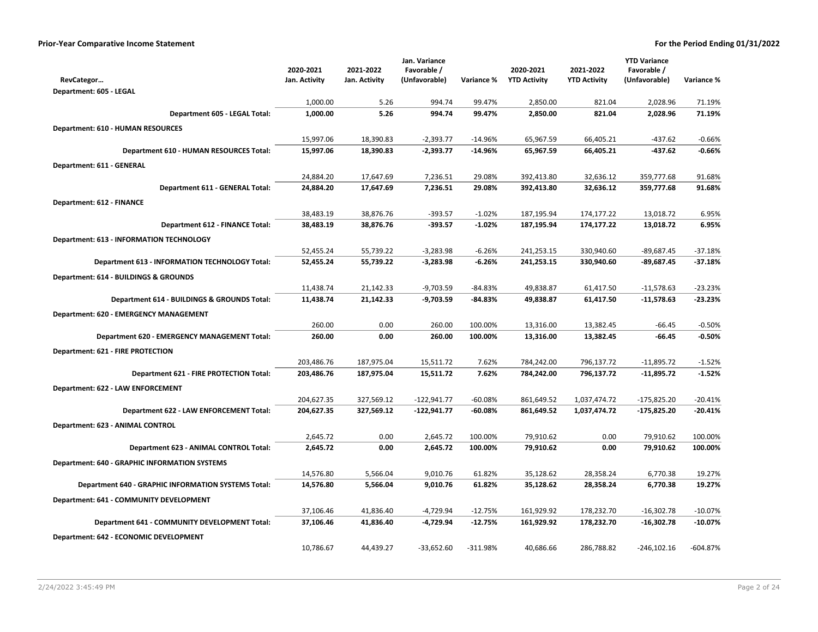|                                                            |                        |                        | Jan. Variance              |                      |                          |                          | <b>YTD Variance</b>          |                        |
|------------------------------------------------------------|------------------------|------------------------|----------------------------|----------------------|--------------------------|--------------------------|------------------------------|------------------------|
|                                                            | 2020-2021              | 2021-2022              | Favorable /                |                      | 2020-2021                | 2021-2022                | Favorable /                  |                        |
| RevCategor                                                 | Jan. Activity          | Jan. Activity          | (Unfavorable)              | Variance %           | <b>YTD Activity</b>      | <b>YTD Activity</b>      | (Unfavorable)                | Variance %             |
| Department: 605 - LEGAL                                    |                        |                        |                            |                      |                          |                          |                              |                        |
|                                                            | 1,000.00               | 5.26                   | 994.74                     | 99.47%               | 2,850.00                 | 821.04                   | 2,028.96                     | 71.19%                 |
| Department 605 - LEGAL Total:                              | 1,000.00               | 5.26                   | 994.74                     | 99.47%               | 2,850.00                 | 821.04                   | 2,028.96                     | 71.19%                 |
| Department: 610 - HUMAN RESOURCES                          |                        |                        |                            |                      |                          |                          |                              |                        |
|                                                            | 15,997.06              | 18,390.83              | $-2,393.77$                | -14.96%              | 65,967.59                | 66,405.21                | -437.62                      | $-0.66%$               |
| Department 610 - HUMAN RESOURCES Total:                    | 15,997.06              | 18,390.83              | $-2,393.77$                | $-14.96%$            | 65,967.59                | 66,405.21                | -437.62                      | $-0.66%$               |
| Department: 611 - GENERAL                                  |                        |                        |                            |                      |                          |                          |                              |                        |
|                                                            | 24,884.20              | 17,647.69              | 7,236.51                   | 29.08%               | 392,413.80               | 32,636.12                | 359,777.68                   | 91.68%                 |
| Department 611 - GENERAL Total:                            | 24,884.20              | 17,647.69              | 7,236.51                   | 29.08%               | 392,413.80               | 32,636.12                | 359,777.68                   | 91.68%                 |
| Department: 612 - FINANCE                                  |                        |                        |                            |                      |                          |                          |                              |                        |
|                                                            | 38,483.19              | 38,876.76              | $-393.57$                  | $-1.02%$             | 187,195.94               | 174,177.22               | 13,018.72                    | 6.95%                  |
| <b>Department 612 - FINANCE Total:</b>                     | 38,483.19              | 38,876.76              | -393.57                    | $-1.02%$             | 187,195.94               | 174,177.22               | 13,018.72                    | 6.95%                  |
|                                                            |                        |                        |                            |                      |                          |                          |                              |                        |
| Department: 613 - INFORMATION TECHNOLOGY                   |                        |                        |                            |                      |                          |                          |                              |                        |
| <b>Department 613 - INFORMATION TECHNOLOGY Total:</b>      | 52,455.24<br>52,455.24 | 55,739.22<br>55,739.22 | $-3,283.98$<br>$-3,283.98$ | $-6.26%$<br>$-6.26%$ | 241,253.15<br>241,253.15 | 330,940.60<br>330,940.60 | $-89,687.45$<br>$-89,687.45$ | $-37.18%$<br>$-37.18%$ |
|                                                            |                        |                        |                            |                      |                          |                          |                              |                        |
| Department: 614 - BUILDINGS & GROUNDS                      |                        |                        |                            |                      |                          |                          |                              |                        |
|                                                            | 11,438.74              | 21,142.33              | $-9,703.59$                | $-84.83%$            | 49,838.87                | 61,417.50                | $-11,578.63$                 | $-23.23%$              |
| Department 614 - BUILDINGS & GROUNDS Total:                | 11,438.74              | 21,142.33              | $-9,703.59$                | $-84.83%$            | 49,838.87                | 61,417.50                | $-11,578.63$                 | $-23.23%$              |
| <b>Department: 620 - EMERGENCY MANAGEMENT</b>              |                        |                        |                            |                      |                          |                          |                              |                        |
|                                                            | 260.00                 | 0.00                   | 260.00                     | 100.00%              | 13,316.00                | 13,382.45                | $-66.45$                     | $-0.50%$               |
| <b>Department 620 - EMERGENCY MANAGEMENT Total:</b>        | 260.00                 | 0.00                   | 260.00                     | 100.00%              | 13,316.00                | 13,382.45                | $-66.45$                     | $-0.50%$               |
| Department: 621 - FIRE PROTECTION                          |                        |                        |                            |                      |                          |                          |                              |                        |
|                                                            | 203,486.76             | 187,975.04             | 15,511.72                  | 7.62%                | 784,242.00               | 796,137.72               | $-11,895.72$                 | $-1.52%$               |
| Department 621 - FIRE PROTECTION Total:                    | 203,486.76             | 187,975.04             | 15,511.72                  | 7.62%                | 784,242.00               | 796,137.72               | $-11,895.72$                 | $-1.52%$               |
| Department: 622 - LAW ENFORCEMENT                          |                        |                        |                            |                      |                          |                          |                              |                        |
|                                                            | 204,627.35             | 327,569.12             | $-122,941.77$              | $-60.08%$            | 861,649.52               | 1,037,474.72             | $-175,825.20$                | $-20.41%$              |
| Department 622 - LAW ENFORCEMENT Total:                    | 204,627.35             | 327,569.12             | $-122,941.77$              | -60.08%              | 861,649.52               | 1,037,474.72             | $-175,825.20$                | $-20.41%$              |
| Department: 623 - ANIMAL CONTROL                           |                        |                        |                            |                      |                          |                          |                              |                        |
|                                                            | 2,645.72               | 0.00                   | 2,645.72                   | 100.00%              | 79,910.62                | 0.00                     | 79,910.62                    | 100.00%                |
| Department 623 - ANIMAL CONTROL Total:                     | 2,645.72               | 0.00                   | 2,645.72                   | 100.00%              | 79,910.62                | 0.00                     | 79,910.62                    | 100.00%                |
|                                                            |                        |                        |                            |                      |                          |                          |                              |                        |
| <b>Department: 640 - GRAPHIC INFORMATION SYSTEMS</b>       | 14,576.80              | 5,566.04               | 9,010.76                   | 61.82%               | 35,128.62                | 28,358.24                | 6,770.38                     | 19.27%                 |
| <b>Department 640 - GRAPHIC INFORMATION SYSTEMS Total:</b> | 14,576.80              | 5,566.04               | 9,010.76                   | 61.82%               | 35,128.62                | 28,358.24                | 6,770.38                     | 19.27%                 |
|                                                            |                        |                        |                            |                      |                          |                          |                              |                        |
| Department: 641 - COMMUNITY DEVELOPMENT                    |                        |                        |                            |                      |                          |                          |                              |                        |
|                                                            | 37,106.46              | 41,836.40              | $-4,729.94$                | $-12.75%$<br>-12.75% | 161,929.92               | 178,232.70               | $-16,302.78$                 | $-10.07%$<br>$-10.07%$ |
| Department 641 - COMMUNITY DEVELOPMENT Total:              | 37,106.46              | 41,836.40              | -4,729.94                  |                      | 161,929.92               | 178,232.70               | $-16,302.78$                 |                        |
| Department: 642 - ECONOMIC DEVELOPMENT                     |                        |                        |                            |                      |                          |                          |                              |                        |
|                                                            | 10,786.67              | 44,439.27              | $-33,652.60$               | $-311.98%$           | 40,686.66                | 286,788.82               | $-246, 102.16$               | $-604.87%$             |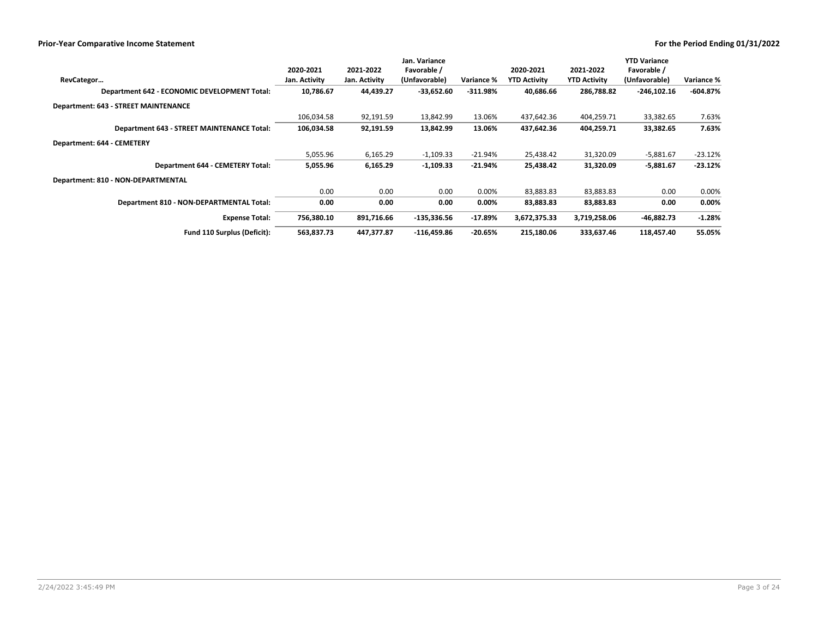|                                              |               |               | Jan. Variance |            |                     |                     | <b>YTD Variance</b> |            |
|----------------------------------------------|---------------|---------------|---------------|------------|---------------------|---------------------|---------------------|------------|
|                                              | 2020-2021     | 2021-2022     | Favorable /   |            | 2020-2021           | 2021-2022           | Favorable /         |            |
| RevCategor                                   | Jan. Activity | Jan. Activity | (Unfavorable) | Variance % | <b>YTD Activity</b> | <b>YTD Activity</b> | (Unfavorable)       | Variance % |
| Department 642 - ECONOMIC DEVELOPMENT Total: | 10,786.67     | 44,439.27     | $-33,652.60$  | $-311.98%$ | 40,686.66           | 286,788.82          | $-246, 102.16$      | $-604.87%$ |
| <b>Department: 643 - STREET MAINTENANCE</b>  |               |               |               |            |                     |                     |                     |            |
|                                              | 106,034.58    | 92,191.59     | 13,842.99     | 13.06%     | 437,642.36          | 404,259.71          | 33,382.65           | 7.63%      |
| Department 643 - STREET MAINTENANCE Total:   | 106,034.58    | 92,191.59     | 13,842.99     | 13.06%     | 437,642.36          | 404,259.71          | 33,382.65           | 7.63%      |
| Department: 644 - CEMETERY                   |               |               |               |            |                     |                     |                     |            |
|                                              | 5,055.96      | 6,165.29      | $-1,109.33$   | $-21.94%$  | 25,438.42           | 31,320.09           | $-5,881.67$         | $-23.12%$  |
| <b>Department 644 - CEMETERY Total:</b>      | 5,055.96      | 6,165.29      | $-1,109.33$   | $-21.94%$  | 25,438.42           | 31,320.09           | $-5,881.67$         | $-23.12%$  |
| Department: 810 - NON-DEPARTMENTAL           |               |               |               |            |                     |                     |                     |            |
|                                              | 0.00          | 0.00          | 0.00          | 0.00%      | 83,883.83           | 83,883.83           | 0.00                | 0.00%      |
| Department 810 - NON-DEPARTMENTAL Total:     | 0.00          | 0.00          | 0.00          | 0.00%      | 83,883.83           | 83,883.83           | 0.00                | 0.00%      |
| <b>Expense Total:</b>                        | 756,380.10    | 891,716.66    | $-135,336.56$ | $-17.89%$  | 3,672,375.33        | 3,719,258.06        | $-46,882.73$        | $-1.28%$   |
| Fund 110 Surplus (Deficit):                  | 563,837.73    | 447,377.87    | $-116,459.86$ | $-20.65%$  | 215,180.06          | 333,637.46          | 118,457.40          | 55.05%     |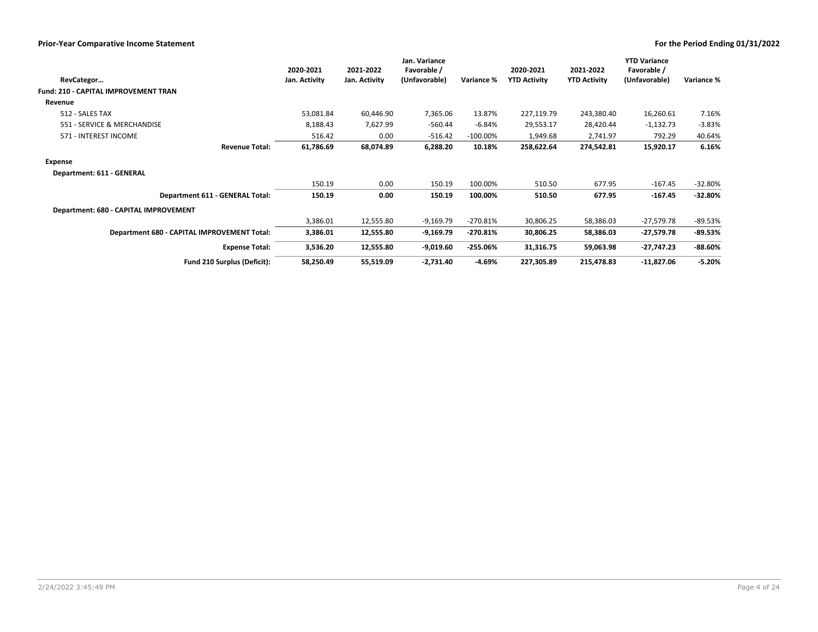|                                             | 2020-2021     | 2021-2022     | Jan. Variance<br>Favorable / |             | 2020-2021           | 2021-2022           | <b>YTD Variance</b><br>Favorable / |            |
|---------------------------------------------|---------------|---------------|------------------------------|-------------|---------------------|---------------------|------------------------------------|------------|
| RevCategor                                  | Jan. Activity | Jan. Activity | (Unfavorable)                | Variance %  | <b>YTD Activity</b> | <b>YTD Activity</b> | (Unfavorable)                      | Variance % |
| Fund: 210 - CAPITAL IMPROVEMENT TRAN        |               |               |                              |             |                     |                     |                                    |            |
| Revenue                                     |               |               |                              |             |                     |                     |                                    |            |
| 512 - SALES TAX                             | 53,081.84     | 60,446.90     | 7,365.06                     | 13.87%      | 227,119.79          | 243,380.40          | 16,260.61                          | 7.16%      |
| 551 - SERVICE & MERCHANDISE                 | 8,188.43      | 7,627.99      | $-560.44$                    | -6.84%      | 29,553.17           | 28,420.44           | $-1,132.73$                        | $-3.83%$   |
| 571 - INTEREST INCOME                       | 516.42        | 0.00          | $-516.42$                    | $-100.00\%$ | 1,949.68            | 2,741.97            | 792.29                             | 40.64%     |
| <b>Revenue Total:</b>                       | 61,786.69     | 68,074.89     | 6,288.20                     | 10.18%      | 258,622.64          | 274,542.81          | 15,920.17                          | 6.16%      |
| Expense                                     |               |               |                              |             |                     |                     |                                    |            |
| Department: 611 - GENERAL                   |               |               |                              |             |                     |                     |                                    |            |
|                                             | 150.19        | 0.00          | 150.19                       | 100.00%     | 510.50              | 677.95              | $-167.45$                          | $-32.80%$  |
| Department 611 - GENERAL Total:             | 150.19        | 0.00          | 150.19                       | 100.00%     | 510.50              | 677.95              | $-167.45$                          | $-32.80%$  |
| Department: 680 - CAPITAL IMPROVEMENT       |               |               |                              |             |                     |                     |                                    |            |
|                                             | 3,386.01      | 12,555.80     | $-9,169.79$                  | $-270.81%$  | 30,806.25           | 58,386.03           | $-27,579.78$                       | -89.53%    |
| Department 680 - CAPITAL IMPROVEMENT Total: | 3,386.01      | 12,555.80     | $-9,169.79$                  | $-270.81%$  | 30,806.25           | 58,386.03           | $-27,579.78$                       | $-89.53%$  |
| <b>Expense Total:</b>                       | 3,536.20      | 12,555.80     | -9,019.60                    | $-255.06%$  | 31,316.75           | 59,063.98           | $-27,747.23$                       | $-88.60\%$ |
| Fund 210 Surplus (Deficit):                 | 58,250.49     | 55,519.09     | $-2,731.40$                  | -4.69%      | 227,305.89          | 215,478.83          | $-11,827.06$                       | $-5.20%$   |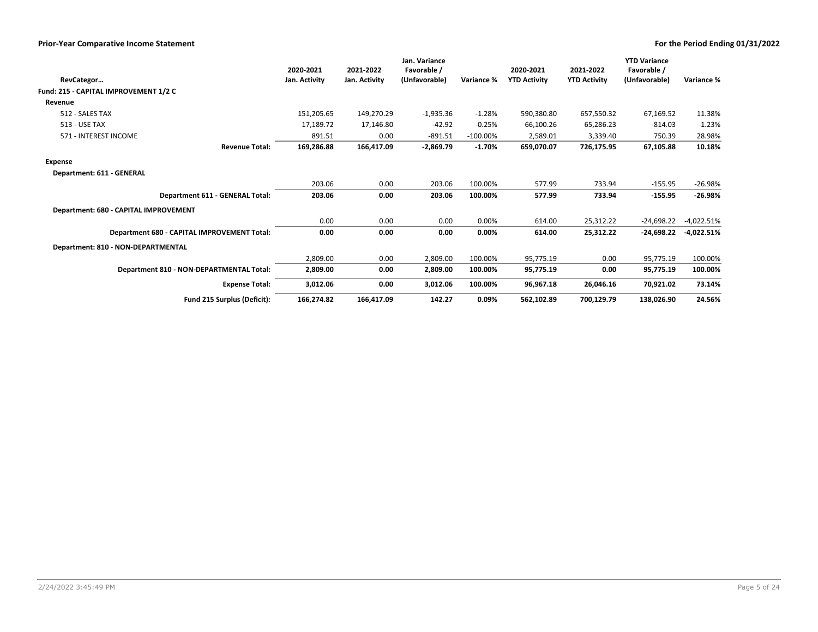| RevCategor                                  | 2020-2021<br>Jan. Activity | 2021-2022<br>Jan. Activity | Jan. Variance<br>Favorable /<br>(Unfavorable) | Variance %  | 2020-2021<br><b>YTD Activity</b> | 2021-2022<br><b>YTD Activity</b> | <b>YTD Variance</b><br>Favorable /<br>(Unfavorable) | Variance %   |
|---------------------------------------------|----------------------------|----------------------------|-----------------------------------------------|-------------|----------------------------------|----------------------------------|-----------------------------------------------------|--------------|
| Fund: 215 - CAPITAL IMPROVEMENT 1/2 C       |                            |                            |                                               |             |                                  |                                  |                                                     |              |
| Revenue                                     |                            |                            |                                               |             |                                  |                                  |                                                     |              |
| 512 - SALES TAX                             | 151,205.65                 | 149,270.29                 | $-1,935.36$                                   | $-1.28%$    | 590,380.80                       | 657,550.32                       | 67,169.52                                           | 11.38%       |
| 513 - USE TAX                               | 17.189.72                  | 17,146.80                  | $-42.92$                                      | $-0.25%$    | 66,100.26                        | 65,286.23                        | $-814.03$                                           | $-1.23%$     |
| 571 - INTEREST INCOME                       | 891.51                     | 0.00                       | $-891.51$                                     | $-100.00\%$ | 2,589.01                         | 3,339.40                         | 750.39                                              | 28.98%       |
| <b>Revenue Total:</b>                       | 169,286.88                 | 166,417.09                 | $-2,869.79$                                   | $-1.70%$    | 659,070.07                       | 726,175.95                       | 67,105.88                                           | 10.18%       |
| <b>Expense</b>                              |                            |                            |                                               |             |                                  |                                  |                                                     |              |
| Department: 611 - GENERAL                   |                            |                            |                                               |             |                                  |                                  |                                                     |              |
|                                             | 203.06                     | 0.00                       | 203.06                                        | 100.00%     | 577.99                           | 733.94                           | $-155.95$                                           | $-26.98%$    |
| Department 611 - GENERAL Total:             | 203.06                     | 0.00                       | 203.06                                        | 100.00%     | 577.99                           | 733.94                           | $-155.95$                                           | $-26.98%$    |
| Department: 680 - CAPITAL IMPROVEMENT       |                            |                            |                                               |             |                                  |                                  |                                                     |              |
|                                             | 0.00                       | 0.00                       | 0.00                                          | 0.00%       | 614.00                           | 25,312.22                        | $-24,698.22$                                        | $-4,022.51%$ |
| Department 680 - CAPITAL IMPROVEMENT Total: | 0.00                       | 0.00                       | 0.00                                          | 0.00%       | 614.00                           | 25,312.22                        | -24,698.22                                          | -4,022.51%   |
| Department: 810 - NON-DEPARTMENTAL          |                            |                            |                                               |             |                                  |                                  |                                                     |              |
|                                             | 2,809.00                   | 0.00                       | 2,809.00                                      | 100.00%     | 95,775.19                        | 0.00                             | 95,775.19                                           | 100.00%      |
| Department 810 - NON-DEPARTMENTAL Total:    | 2,809.00                   | 0.00                       | 2,809.00                                      | 100.00%     | 95,775.19                        | 0.00                             | 95,775.19                                           | 100.00%      |
| <b>Expense Total:</b>                       | 3,012.06                   | 0.00                       | 3,012.06                                      | 100.00%     | 96,967.18                        | 26,046.16                        | 70,921.02                                           | 73.14%       |
| Fund 215 Surplus (Deficit):                 | 166,274.82                 | 166,417.09                 | 142.27                                        | 0.09%       | 562,102.89                       | 700,129.79                       | 138,026.90                                          | 24.56%       |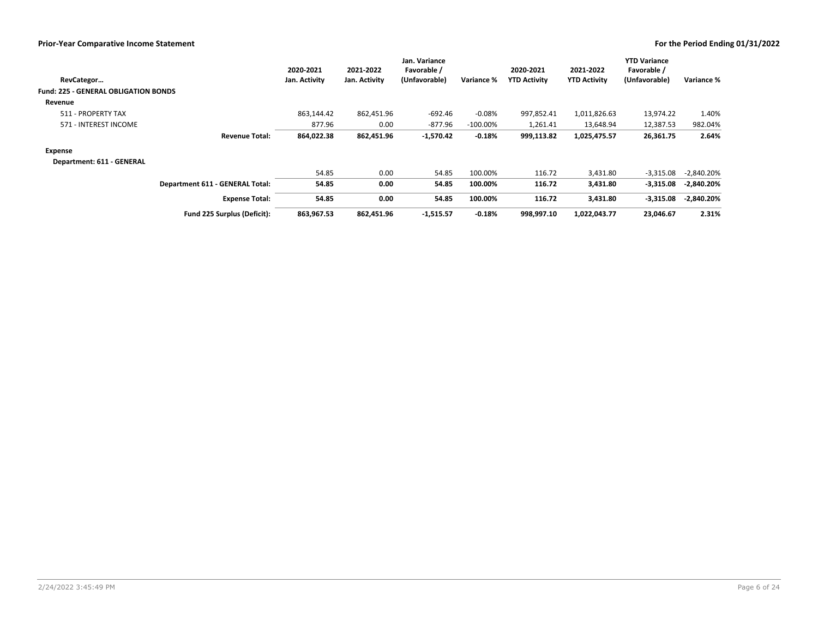| RevCategor                                  | 2020-2021<br>Jan. Activity | 2021-2022<br>Jan. Activity | Jan. Variance<br>Favorable /<br>(Unfavorable) | Variance %  | 2020-2021<br><b>YTD Activity</b> | 2021-2022<br><b>YTD Activity</b> | <b>YTD Variance</b><br>Favorable /<br>(Unfavorable) | Variance %   |
|---------------------------------------------|----------------------------|----------------------------|-----------------------------------------------|-------------|----------------------------------|----------------------------------|-----------------------------------------------------|--------------|
| <b>Fund: 225 - GENERAL OBLIGATION BONDS</b> |                            |                            |                                               |             |                                  |                                  |                                                     |              |
| Revenue                                     |                            |                            |                                               |             |                                  |                                  |                                                     |              |
| 511 - PROPERTY TAX                          | 863.144.42                 | 862,451.96                 | $-692.46$                                     | $-0.08%$    | 997.852.41                       | 1,011,826.63                     | 13,974.22                                           | 1.40%        |
| 571 - INTEREST INCOME                       | 877.96                     | 0.00                       | -877.96                                       | $-100.00\%$ | 1,261.41                         | 13,648.94                        | 12,387.53                                           | 982.04%      |
| <b>Revenue Total:</b>                       | 864,022.38                 | 862,451.96                 | $-1,570.42$                                   | $-0.18%$    | 999,113.82                       | 1,025,475.57                     | 26,361.75                                           | 2.64%        |
| Expense                                     |                            |                            |                                               |             |                                  |                                  |                                                     |              |
| Department: 611 - GENERAL                   |                            |                            |                                               |             |                                  |                                  |                                                     |              |
|                                             | 54.85                      | 0.00                       | 54.85                                         | 100.00%     | 116.72                           | 3,431.80                         | $-3,315.08$                                         | $-2,840.20%$ |
| Department 611 - GENERAL Total:             | 54.85                      | 0.00                       | 54.85                                         | 100.00%     | 116.72                           | 3,431.80                         | $-3,315.08$                                         | $-2,840.20%$ |
| <b>Expense Total:</b>                       | 54.85                      | 0.00                       | 54.85                                         | 100.00%     | 116.72                           | 3,431.80                         | $-3,315.08$                                         | $-2,840.20%$ |
| Fund 225 Surplus (Deficit):                 | 863,967.53                 | 862,451.96                 | $-1,515.57$                                   | $-0.18%$    | 998,997.10                       | 1,022,043.77                     | 23,046.67                                           | 2.31%        |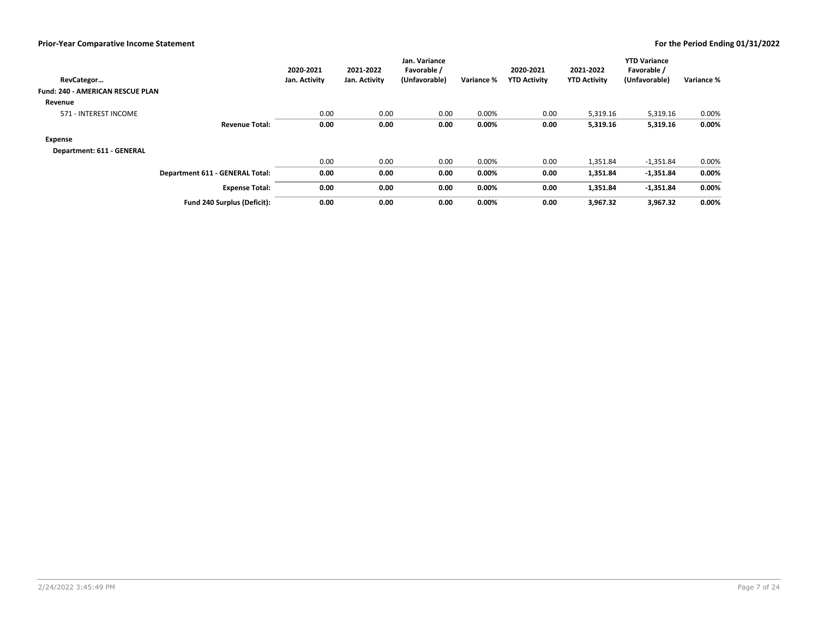| RevCategor                              |                                 | 2020-2021<br>Jan. Activity | 2021-2022<br>Jan. Activity | Jan. Variance<br>Favorable /<br>(Unfavorable) | Variance % | 2020-2021<br><b>YTD Activity</b> | 2021-2022<br><b>YTD Activity</b> | <b>YTD Variance</b><br>Favorable /<br>(Unfavorable) | Variance % |
|-----------------------------------------|---------------------------------|----------------------------|----------------------------|-----------------------------------------------|------------|----------------------------------|----------------------------------|-----------------------------------------------------|------------|
| <b>Fund: 240 - AMERICAN RESCUE PLAN</b> |                                 |                            |                            |                                               |            |                                  |                                  |                                                     |            |
| Revenue                                 |                                 |                            |                            |                                               |            |                                  |                                  |                                                     |            |
| 571 - INTEREST INCOME                   |                                 | 0.00                       | 0.00                       | 0.00                                          | 0.00%      | 0.00                             | 5,319.16                         | 5,319.16                                            | 0.00%      |
|                                         | <b>Revenue Total:</b>           | 0.00                       | 0.00                       | 0.00                                          | 0.00%      | 0.00                             | 5,319.16                         | 5,319.16                                            | $0.00\%$   |
| <b>Expense</b>                          |                                 |                            |                            |                                               |            |                                  |                                  |                                                     |            |
| Department: 611 - GENERAL               |                                 |                            |                            |                                               |            |                                  |                                  |                                                     |            |
|                                         |                                 | 0.00                       | 0.00                       | 0.00                                          | 0.00%      | 0.00                             | 1,351.84                         | $-1,351.84$                                         | 0.00%      |
|                                         | Department 611 - GENERAL Total: | 0.00                       | 0.00                       | 0.00                                          | 0.00%      | 0.00                             | 1,351.84                         | $-1,351.84$                                         | 0.00%      |
|                                         | <b>Expense Total:</b>           | 0.00                       | 0.00                       | 0.00                                          | 0.00%      | 0.00                             | 1,351.84                         | $-1,351.84$                                         | 0.00%      |
|                                         | Fund 240 Surplus (Deficit):     | 0.00                       | 0.00                       | 0.00                                          | $0.00\%$   | 0.00                             | 3,967.32                         | 3,967.32                                            | $0.00\%$   |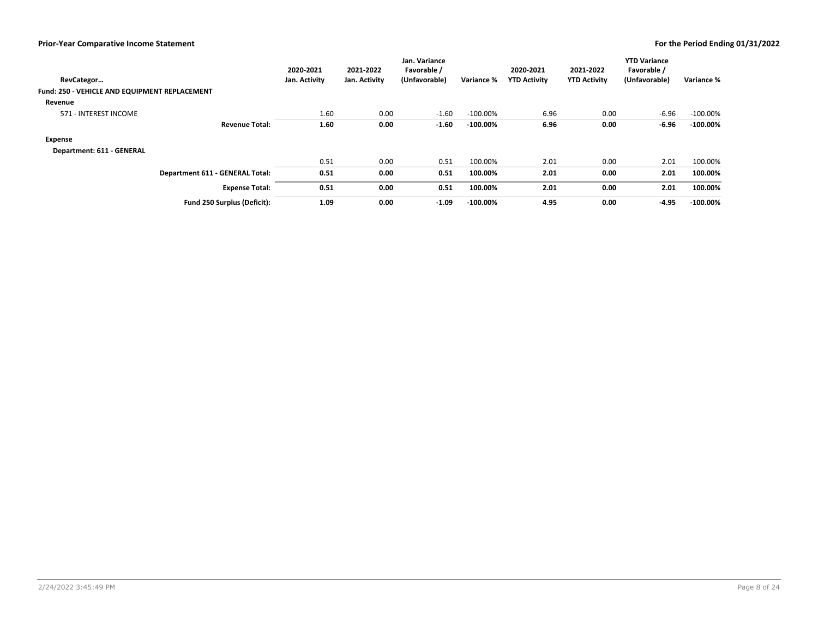| RevCategor<br>Fund: 250 - VEHICLE AND EQUIPMENT REPLACEMENT |                                 | 2020-2021<br>Jan. Activity | 2021-2022<br>Jan. Activity | Jan. Variance<br>Favorable /<br>(Unfavorable) | Variance %  | 2020-2021<br><b>YTD Activity</b> | 2021-2022<br><b>YTD Activity</b> | <b>YTD Variance</b><br>Favorable /<br>(Unfavorable) | Variance %  |
|-------------------------------------------------------------|---------------------------------|----------------------------|----------------------------|-----------------------------------------------|-------------|----------------------------------|----------------------------------|-----------------------------------------------------|-------------|
| Revenue                                                     |                                 |                            |                            |                                               |             |                                  |                                  |                                                     |             |
| 571 - INTEREST INCOME                                       |                                 | 1.60                       | 0.00                       | $-1.60$                                       | $-100.00\%$ | 6.96                             | 0.00                             | $-6.96$                                             | $-100.00\%$ |
|                                                             | <b>Revenue Total:</b>           | 1.60                       | 0.00                       | $-1.60$                                       | $-100.00\%$ | 6.96                             | 0.00                             | $-6.96$                                             | $-100.00\%$ |
| <b>Expense</b>                                              |                                 |                            |                            |                                               |             |                                  |                                  |                                                     |             |
| Department: 611 - GENERAL                                   |                                 |                            |                            |                                               |             |                                  |                                  |                                                     |             |
|                                                             |                                 | 0.51                       | 0.00                       | 0.51                                          | 100.00%     | 2.01                             | 0.00                             | 2.01                                                | 100.00%     |
|                                                             | Department 611 - GENERAL Total: | 0.51                       | 0.00                       | 0.51                                          | 100.00%     | 2.01                             | 0.00                             | 2.01                                                | 100.00%     |
|                                                             | <b>Expense Total:</b>           | 0.51                       | 0.00                       | 0.51                                          | 100.00%     | 2.01                             | 0.00                             | 2.01                                                | 100.00%     |
|                                                             | Fund 250 Surplus (Deficit):     | 1.09                       | 0.00                       | $-1.09$                                       | $-100.00\%$ | 4.95                             | 0.00                             | $-4.95$                                             | $-100.00\%$ |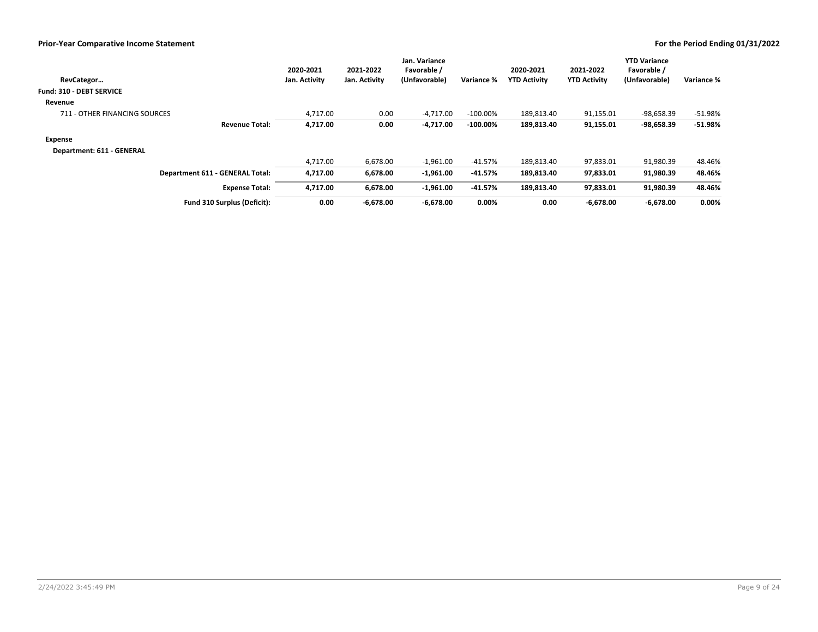| RevCategor                             | 2020-2021<br>Jan. Activity | 2021-2022<br>Jan. Activity | Jan. Variance<br>Favorable /<br>(Unfavorable) | Variance %  | 2020-2021<br><b>YTD Activity</b> | 2021-2022<br><b>YTD Activity</b> | <b>YTD Variance</b><br>Favorable /<br>(Unfavorable) | Variance % |
|----------------------------------------|----------------------------|----------------------------|-----------------------------------------------|-------------|----------------------------------|----------------------------------|-----------------------------------------------------|------------|
| <b>Fund: 310 - DEBT SERVICE</b>        |                            |                            |                                               |             |                                  |                                  |                                                     |            |
| Revenue                                |                            |                            |                                               |             |                                  |                                  |                                                     |            |
| 711 - OTHER FINANCING SOURCES          | 4.717.00                   | 0.00                       | $-4.717.00$                                   | $-100.00\%$ | 189,813.40                       | 91,155.01                        | -98,658.39                                          | $-51.98%$  |
| <b>Revenue Total:</b>                  | 4,717.00                   | 0.00                       | $-4,717.00$                                   | $-100.00\%$ | 189,813.40                       | 91,155.01                        | $-98,658.39$                                        | $-51.98%$  |
| Expense                                |                            |                            |                                               |             |                                  |                                  |                                                     |            |
| Department: 611 - GENERAL              |                            |                            |                                               |             |                                  |                                  |                                                     |            |
|                                        | 4,717.00                   | 6,678.00                   | $-1,961.00$                                   | -41.57%     | 189,813.40                       | 97,833.01                        | 91,980.39                                           | 48.46%     |
| <b>Department 611 - GENERAL Total:</b> | 4,717.00                   | 6,678.00                   | $-1,961.00$                                   | -41.57%     | 189,813.40                       | 97,833.01                        | 91,980.39                                           | 48.46%     |
| <b>Expense Total:</b>                  | 4,717.00                   | 6,678.00                   | $-1,961.00$                                   | $-41.57%$   | 189,813.40                       | 97,833.01                        | 91,980.39                                           | 48.46%     |
| Fund 310 Surplus (Deficit):            | 0.00                       | $-6,678.00$                | $-6,678.00$                                   | 0.00%       | 0.00                             | $-6.678.00$                      | $-6.678.00$                                         | $0.00\%$   |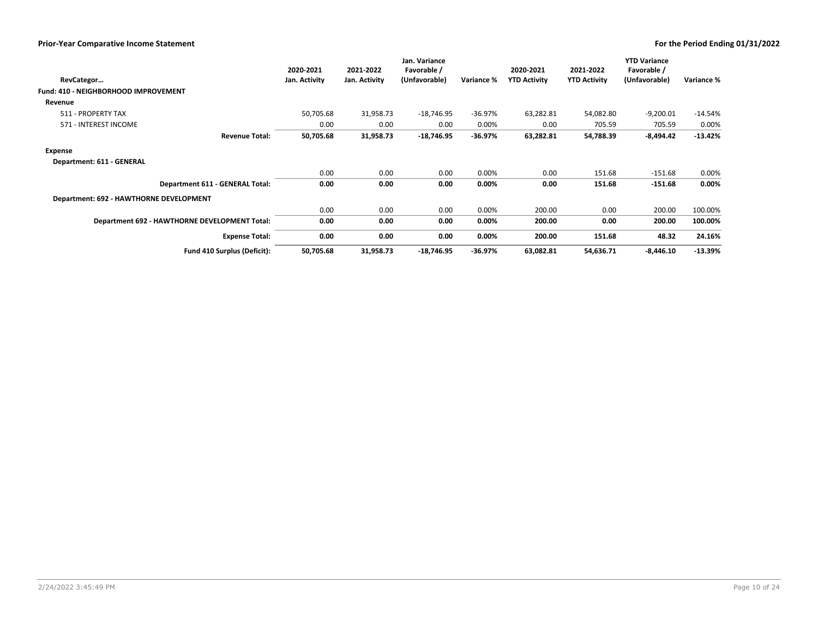|                                               | 2020-2021     | 2021-2022     | Jan. Variance<br>Favorable / |            | 2020-2021           | 2021-2022           | <b>YTD Variance</b><br>Favorable / |            |
|-----------------------------------------------|---------------|---------------|------------------------------|------------|---------------------|---------------------|------------------------------------|------------|
| RevCategor                                    | Jan. Activity | Jan. Activity | (Unfavorable)                | Variance % | <b>YTD Activity</b> | <b>YTD Activity</b> | (Unfavorable)                      | Variance % |
| <b>Fund: 410 - NEIGHBORHOOD IMPROVEMENT</b>   |               |               |                              |            |                     |                     |                                    |            |
| Revenue                                       |               |               |                              |            |                     |                     |                                    |            |
| 511 - PROPERTY TAX                            | 50,705.68     | 31,958.73     | $-18,746.95$                 | $-36.97%$  | 63,282.81           | 54,082.80           | $-9,200.01$                        | $-14.54%$  |
| 571 - INTEREST INCOME                         | 0.00          | 0.00          | 0.00                         | 0.00%      | 0.00                | 705.59              | 705.59                             | 0.00%      |
| <b>Revenue Total:</b>                         | 50,705.68     | 31,958.73     | -18,746.95                   | $-36.97%$  | 63,282.81           | 54,788.39           | $-8,494.42$                        | $-13.42%$  |
| <b>Expense</b>                                |               |               |                              |            |                     |                     |                                    |            |
| Department: 611 - GENERAL                     |               |               |                              |            |                     |                     |                                    |            |
|                                               | 0.00          | 0.00          | 0.00                         | 0.00%      | 0.00                | 151.68              | $-151.68$                          | 0.00%      |
| Department 611 - GENERAL Total:               | 0.00          | 0.00          | 0.00                         | $0.00\%$   | 0.00                | 151.68              | $-151.68$                          | 0.00%      |
| Department: 692 - HAWTHORNE DEVELOPMENT       |               |               |                              |            |                     |                     |                                    |            |
|                                               | 0.00          | 0.00          | 0.00                         | 0.00%      | 200.00              | 0.00                | 200.00                             | 100.00%    |
| Department 692 - HAWTHORNE DEVELOPMENT Total: | 0.00          | 0.00          | 0.00                         | $0.00\%$   | 200.00              | 0.00                | 200.00                             | 100.00%    |
| <b>Expense Total:</b>                         | 0.00          | 0.00          | 0.00                         | $0.00\%$   | 200.00              | 151.68              | 48.32                              | 24.16%     |
| Fund 410 Surplus (Deficit):                   | 50,705.68     | 31,958.73     | $-18,746.95$                 | $-36.97%$  | 63,082.81           | 54,636.71           | $-8,446.10$                        | $-13.39%$  |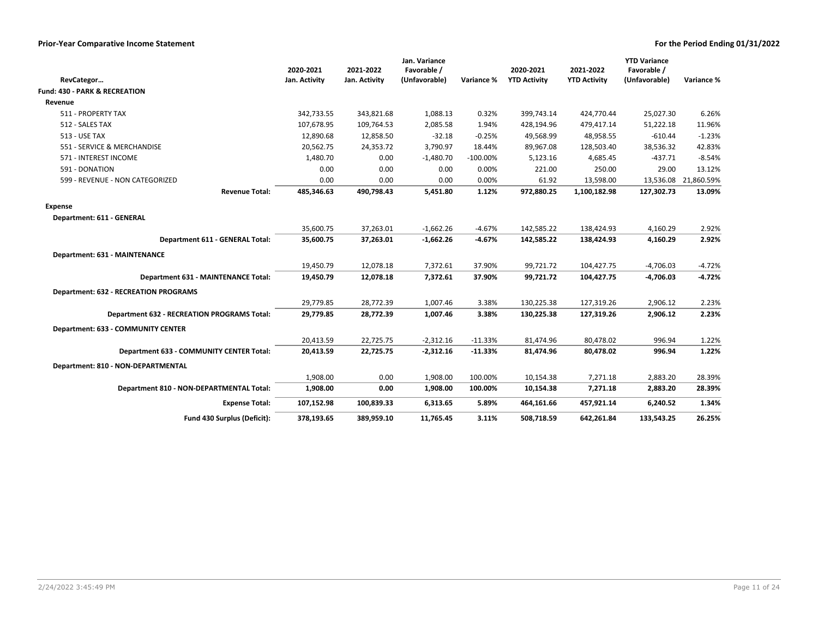|                                                    | 2020-2021     | 2021-2022     | Jan. Variance<br>Favorable / |             | 2020-2021           | 2021-2022           | <b>YTD Variance</b><br>Favorable / |                      |
|----------------------------------------------------|---------------|---------------|------------------------------|-------------|---------------------|---------------------|------------------------------------|----------------------|
| RevCategor                                         | Jan. Activity | Jan. Activity | (Unfavorable)                | Variance %  | <b>YTD Activity</b> | <b>YTD Activity</b> | (Unfavorable)                      | Variance %           |
| <b>Fund: 430 - PARK &amp; RECREATION</b>           |               |               |                              |             |                     |                     |                                    |                      |
| Revenue                                            |               |               |                              |             |                     |                     |                                    |                      |
| 511 - PROPERTY TAX                                 | 342,733.55    | 343,821.68    | 1,088.13                     | 0.32%       | 399,743.14          | 424,770.44          | 25,027.30                          | 6.26%                |
| 512 - SALES TAX                                    | 107,678.95    | 109,764.53    | 2,085.58                     | 1.94%       | 428,194.96          | 479,417.14          | 51,222.18                          | 11.96%               |
| <b>513 - USE TAX</b>                               | 12,890.68     | 12,858.50     | $-32.18$                     | $-0.25%$    | 49,568.99           | 48,958.55           | $-610.44$                          | $-1.23%$             |
| 551 - SERVICE & MERCHANDISE                        | 20,562.75     | 24,353.72     | 3,790.97                     | 18.44%      | 89,967.08           | 128,503.40          | 38,536.32                          | 42.83%               |
| 571 - INTEREST INCOME                              | 1,480.70      | 0.00          | $-1,480.70$                  | $-100.00\%$ | 5,123.16            | 4,685.45            | $-437.71$                          | $-8.54%$             |
| 591 - DONATION                                     | 0.00          | 0.00          | 0.00                         | 0.00%       | 221.00              | 250.00              | 29.00                              | 13.12%               |
| 599 - REVENUE - NON CATEGORIZED                    | 0.00          | 0.00          | 0.00                         | 0.00%       | 61.92               | 13,598.00           |                                    | 13,536.08 21,860.59% |
| <b>Revenue Total:</b>                              | 485,346.63    | 490,798.43    | 5,451.80                     | 1.12%       | 972,880.25          | 1,100,182.98        | 127,302.73                         | 13.09%               |
| <b>Expense</b>                                     |               |               |                              |             |                     |                     |                                    |                      |
| Department: 611 - GENERAL                          |               |               |                              |             |                     |                     |                                    |                      |
|                                                    | 35,600.75     | 37,263.01     | $-1,662.26$                  | $-4.67%$    | 142,585.22          | 138,424.93          | 4,160.29                           | 2.92%                |
| Department 611 - GENERAL Total:                    | 35,600.75     | 37,263.01     | $-1,662.26$                  | $-4.67%$    | 142,585.22          | 138,424.93          | 4,160.29                           | 2.92%                |
| Department: 631 - MAINTENANCE                      |               |               |                              |             |                     |                     |                                    |                      |
|                                                    | 19,450.79     | 12,078.18     | 7,372.61                     | 37.90%      | 99,721.72           | 104,427.75          | $-4,706.03$                        | $-4.72%$             |
| Department 631 - MAINTENANCE Total:                | 19,450.79     | 12,078.18     | 7,372.61                     | 37.90%      | 99,721.72           | 104,427.75          | $-4,706.03$                        | $-4.72%$             |
| <b>Department: 632 - RECREATION PROGRAMS</b>       |               |               |                              |             |                     |                     |                                    |                      |
|                                                    | 29,779.85     | 28,772.39     | 1,007.46                     | 3.38%       | 130,225.38          | 127,319.26          | 2,906.12                           | 2.23%                |
| <b>Department 632 - RECREATION PROGRAMS Total:</b> | 29,779.85     | 28,772.39     | 1,007.46                     | 3.38%       | 130,225.38          | 127,319.26          | 2,906.12                           | 2.23%                |
| Department: 633 - COMMUNITY CENTER                 |               |               |                              |             |                     |                     |                                    |                      |
|                                                    | 20,413.59     | 22,725.75     | $-2,312.16$                  | $-11.33%$   | 81,474.96           | 80,478.02           | 996.94                             | 1.22%                |
| Department 633 - COMMUNITY CENTER Total:           | 20,413.59     | 22,725.75     | $-2,312.16$                  | $-11.33%$   | 81,474.96           | 80,478.02           | 996.94                             | 1.22%                |
| Department: 810 - NON-DEPARTMENTAL                 |               |               |                              |             |                     |                     |                                    |                      |
|                                                    | 1.908.00      | 0.00          | 1,908.00                     | 100.00%     | 10,154.38           | 7,271.18            | 2,883.20                           | 28.39%               |
| Department 810 - NON-DEPARTMENTAL Total:           | 1,908.00      | 0.00          | 1,908.00                     | 100.00%     | 10,154.38           | 7,271.18            | 2,883.20                           | 28.39%               |
| <b>Expense Total:</b>                              | 107,152.98    | 100,839.33    | 6,313.65                     | 5.89%       | 464,161.66          | 457,921.14          | 6,240.52                           | 1.34%                |
| Fund 430 Surplus (Deficit):                        | 378.193.65    | 389,959.10    | 11,765.45                    | 3.11%       | 508,718.59          | 642,261.84          | 133,543.25                         | 26.25%               |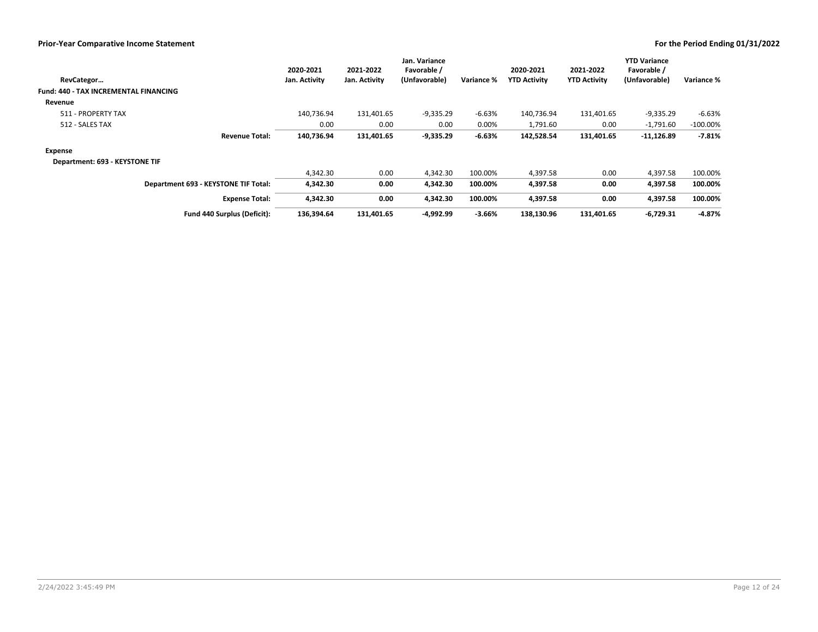| RevCategor                            | 2020-2021<br>Jan. Activity | 2021-2022<br>Jan. Activity | Jan. Variance<br>Favorable /<br>(Unfavorable) | Variance % | 2020-2021<br><b>YTD Activity</b> | 2021-2022<br><b>YTD Activity</b> | <b>YTD Variance</b><br>Favorable /<br>(Unfavorable) | Variance %  |
|---------------------------------------|----------------------------|----------------------------|-----------------------------------------------|------------|----------------------------------|----------------------------------|-----------------------------------------------------|-------------|
| Fund: 440 - TAX INCREMENTAL FINANCING |                            |                            |                                               |            |                                  |                                  |                                                     |             |
| Revenue                               |                            |                            |                                               |            |                                  |                                  |                                                     |             |
| 511 - PROPERTY TAX                    | 140,736.94                 | 131,401.65                 | $-9,335.29$                                   | $-6.63%$   | 140,736.94                       | 131,401.65                       | $-9,335.29$                                         | -6.63%      |
| 512 - SALES TAX                       | 0.00                       | 0.00                       | 0.00                                          | 0.00%      | 1,791.60                         | 0.00                             | $-1,791.60$                                         | $-100.00\%$ |
| <b>Revenue Total:</b>                 | 140,736.94                 | 131,401.65                 | $-9,335.29$                                   | $-6.63%$   | 142,528.54                       | 131,401.65                       | $-11,126.89$                                        | $-7.81%$    |
| Expense                               |                            |                            |                                               |            |                                  |                                  |                                                     |             |
| Department: 693 - KEYSTONE TIF        |                            |                            |                                               |            |                                  |                                  |                                                     |             |
|                                       | 4.342.30                   | 0.00                       | 4,342.30                                      | 100.00%    | 4,397.58                         | 0.00                             | 4.397.58                                            | 100.00%     |
| Department 693 - KEYSTONE TIF Total:  | 4,342.30                   | 0.00                       | 4,342.30                                      | 100.00%    | 4,397.58                         | 0.00                             | 4,397.58                                            | 100.00%     |
| <b>Expense Total:</b>                 | 4,342.30                   | 0.00                       | 4,342.30                                      | 100.00%    | 4,397.58                         | 0.00                             | 4,397.58                                            | 100.00%     |
| Fund 440 Surplus (Deficit):           | 136.394.64                 | 131,401.65                 | -4,992.99                                     | $-3.66%$   | 138,130.96                       | 131.401.65                       | $-6,729.31$                                         | $-4.87%$    |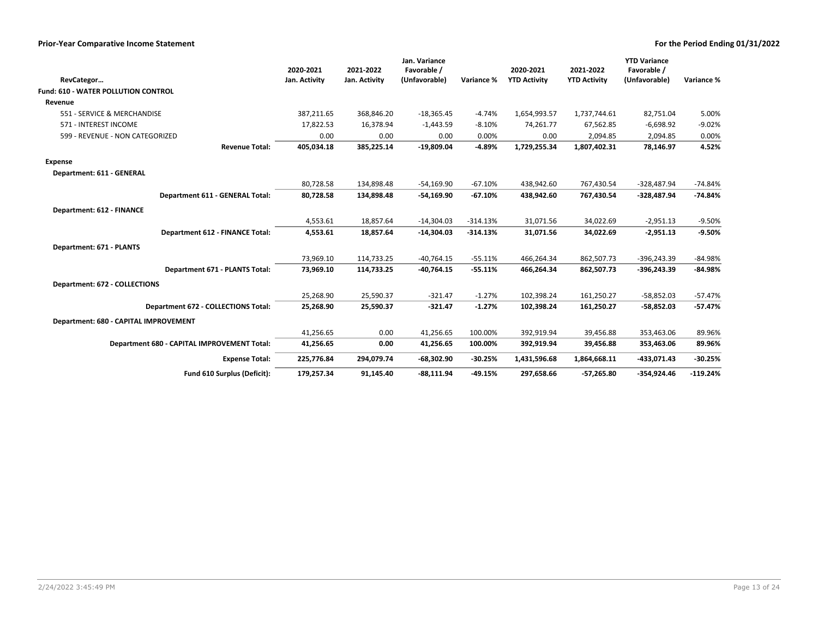|                                             | 2020-2021     | 2021-2022     | Jan. Variance<br>Favorable / |            | 2020-2021           | 2021-2022           | <b>YTD Variance</b><br>Favorable / |            |
|---------------------------------------------|---------------|---------------|------------------------------|------------|---------------------|---------------------|------------------------------------|------------|
| RevCategor                                  | Jan. Activity | Jan. Activity | (Unfavorable)                | Variance % | <b>YTD Activity</b> | <b>YTD Activity</b> | (Unfavorable)                      | Variance % |
| <b>Fund: 610 - WATER POLLUTION CONTROL</b>  |               |               |                              |            |                     |                     |                                    |            |
| Revenue                                     |               |               |                              |            |                     |                     |                                    |            |
| 551 - SERVICE & MERCHANDISE                 | 387,211.65    | 368,846.20    | $-18,365.45$                 | $-4.74%$   | 1,654,993.57        | 1,737,744.61        | 82,751.04                          | 5.00%      |
| 571 - INTEREST INCOME                       | 17,822.53     | 16,378.94     | $-1,443.59$                  | $-8.10%$   | 74,261.77           | 67,562.85           | $-6,698.92$                        | $-9.02%$   |
| 599 - REVENUE - NON CATEGORIZED             | 0.00          | 0.00          | 0.00                         | 0.00%      | 0.00                | 2,094.85            | 2,094.85                           | 0.00%      |
| <b>Revenue Total:</b>                       | 405,034.18    | 385,225.14    | $-19,809.04$                 | $-4.89%$   | 1,729,255.34        | 1,807,402.31        | 78,146.97                          | 4.52%      |
| <b>Expense</b>                              |               |               |                              |            |                     |                     |                                    |            |
| Department: 611 - GENERAL                   |               |               |                              |            |                     |                     |                                    |            |
|                                             | 80,728.58     | 134,898.48    | $-54,169.90$                 | $-67.10%$  | 438,942.60          | 767,430.54          | $-328,487.94$                      | $-74.84%$  |
| Department 611 - GENERAL Total:             | 80,728.58     | 134,898.48    | $-54,169.90$                 | $-67.10%$  | 438,942.60          | 767.430.54          | -328.487.94                        | $-74.84%$  |
| Department: 612 - FINANCE                   |               |               |                              |            |                     |                     |                                    |            |
|                                             | 4,553.61      | 18,857.64     | $-14,304.03$                 | $-314.13%$ | 31,071.56           | 34,022.69           | $-2,951.13$                        | $-9.50%$   |
| <b>Department 612 - FINANCE Total:</b>      | 4,553.61      | 18,857.64     | $-14,304.03$                 | $-314.13%$ | 31,071.56           | 34,022.69           | $-2,951.13$                        | $-9.50%$   |
| Department: 671 - PLANTS                    |               |               |                              |            |                     |                     |                                    |            |
|                                             | 73,969.10     | 114,733.25    | $-40,764.15$                 | $-55.11%$  | 466,264.34          | 862,507.73          | -396,243.39                        | $-84.98%$  |
| Department 671 - PLANTS Total:              | 73,969.10     | 114,733.25    | $-40,764.15$                 | $-55.11%$  | 466,264.34          | 862,507.73          | $-396,243.39$                      | $-84.98%$  |
| Department: 672 - COLLECTIONS               |               |               |                              |            |                     |                     |                                    |            |
|                                             | 25,268.90     | 25,590.37     | $-321.47$                    | $-1.27%$   | 102,398.24          | 161,250.27          | $-58,852.03$                       | $-57.47%$  |
| Department 672 - COLLECTIONS Total:         | 25,268.90     | 25,590.37     | $-321.47$                    | $-1.27%$   | 102,398.24          | 161,250.27          | $-58,852.03$                       | $-57.47%$  |
| Department: 680 - CAPITAL IMPROVEMENT       |               |               |                              |            |                     |                     |                                    |            |
|                                             | 41,256.65     | 0.00          | 41,256.65                    | 100.00%    | 392,919.94          | 39,456.88           | 353,463.06                         | 89.96%     |
| Department 680 - CAPITAL IMPROVEMENT Total: | 41,256.65     | 0.00          | 41,256.65                    | 100.00%    | 392,919.94          | 39,456.88           | 353,463.06                         | 89.96%     |
|                                             |               |               |                              |            |                     |                     |                                    |            |
| <b>Expense Total:</b>                       | 225,776.84    | 294,079.74    | $-68,302.90$                 | $-30.25%$  | 1,431,596.68        | 1,864,668.11        | -433,071.43                        | $-30.25%$  |
| Fund 610 Surplus (Deficit):                 | 179,257.34    | 91,145.40     | $-88,111.94$                 | $-49.15%$  | 297,658.66          | $-57,265.80$        | $-354,924.46$                      | $-119.24%$ |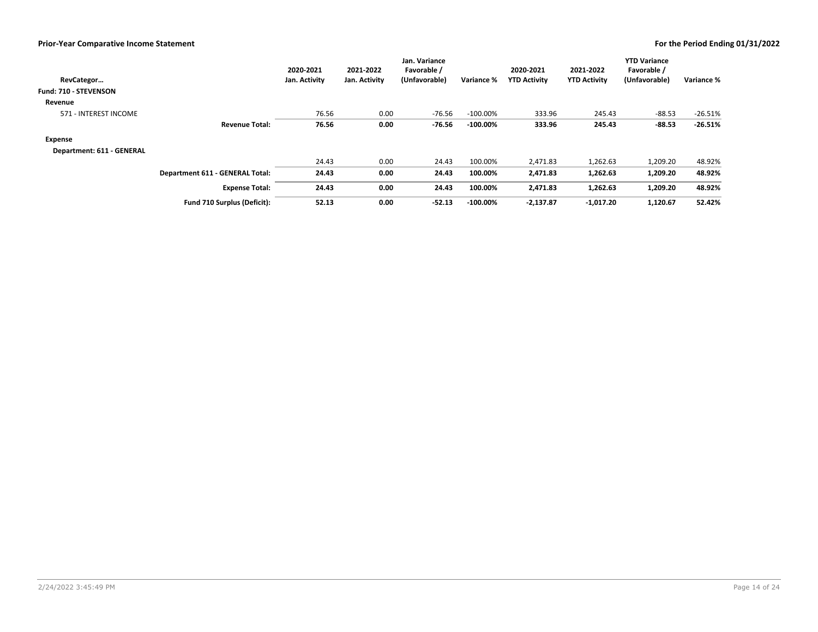| RevCategor<br>Fund: 710 - STEVENSON |                                        | 2020-2021<br>Jan. Activity | 2021-2022<br>Jan. Activity | Jan. Variance<br>Favorable /<br>(Unfavorable) | Variance %  | 2020-2021<br><b>YTD Activity</b> | 2021-2022<br><b>YTD Activity</b> | <b>YTD Variance</b><br>Favorable /<br>(Unfavorable) | Variance % |
|-------------------------------------|----------------------------------------|----------------------------|----------------------------|-----------------------------------------------|-------------|----------------------------------|----------------------------------|-----------------------------------------------------|------------|
|                                     |                                        |                            |                            |                                               |             |                                  |                                  |                                                     |            |
| Revenue                             |                                        |                            |                            |                                               |             |                                  |                                  |                                                     |            |
| 571 - INTEREST INCOME               |                                        | 76.56                      | 0.00                       | $-76.56$                                      | $-100.00\%$ | 333.96                           | 245.43                           | $-88.53$                                            | $-26.51%$  |
|                                     | <b>Revenue Total:</b>                  | 76.56                      | 0.00                       | -76.56                                        | $-100.00\%$ | 333.96                           | 245.43                           | $-88.53$                                            | $-26.51%$  |
| <b>Expense</b>                      |                                        |                            |                            |                                               |             |                                  |                                  |                                                     |            |
| Department: 611 - GENERAL           |                                        |                            |                            |                                               |             |                                  |                                  |                                                     |            |
|                                     |                                        | 24.43                      | 0.00                       | 24.43                                         | 100.00%     | 2,471.83                         | 1,262.63                         | 1,209.20                                            | 48.92%     |
|                                     | <b>Department 611 - GENERAL Total:</b> | 24.43                      | 0.00                       | 24.43                                         | 100.00%     | 2,471.83                         | 1,262.63                         | 1,209.20                                            | 48.92%     |
|                                     | <b>Expense Total:</b>                  | 24.43                      | 0.00                       | 24.43                                         | 100.00%     | 2,471.83                         | 1,262.63                         | 1,209.20                                            | 48.92%     |
|                                     | Fund 710 Surplus (Deficit):            | 52.13                      | 0.00                       | $-52.13$                                      | $-100.00\%$ | $-2,137.87$                      | $-1,017.20$                      | 1,120.67                                            | 52.42%     |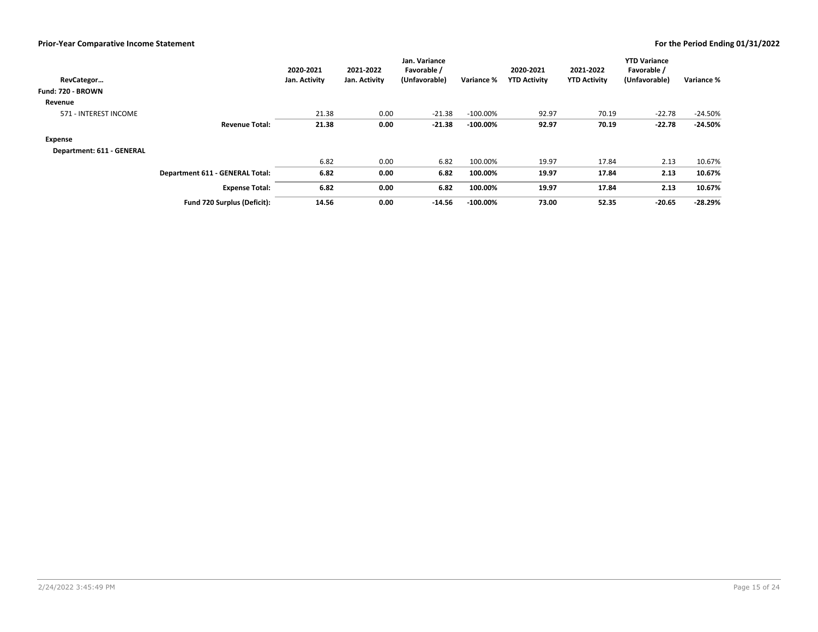| RevCategor<br>Fund: 720 - BROWN |                                 | 2020-2021<br>Jan. Activity | 2021-2022<br>Jan. Activity | Jan. Variance<br>Favorable /<br>(Unfavorable) | Variance %  | 2020-2021<br><b>YTD Activity</b> | 2021-2022<br><b>YTD Activity</b> | <b>YTD Variance</b><br>Favorable /<br>(Unfavorable) | Variance % |
|---------------------------------|---------------------------------|----------------------------|----------------------------|-----------------------------------------------|-------------|----------------------------------|----------------------------------|-----------------------------------------------------|------------|
| Revenue                         |                                 |                            |                            |                                               |             |                                  |                                  |                                                     |            |
| 571 - INTEREST INCOME           |                                 | 21.38                      | 0.00                       | $-21.38$                                      | $-100.00\%$ | 92.97                            | 70.19                            | $-22.78$                                            | $-24.50%$  |
|                                 | <b>Revenue Total:</b>           | 21.38                      | 0.00                       | $-21.38$                                      | $-100.00\%$ | 92.97                            | 70.19                            | $-22.78$                                            | $-24.50%$  |
| Expense                         |                                 |                            |                            |                                               |             |                                  |                                  |                                                     |            |
| Department: 611 - GENERAL       |                                 |                            |                            |                                               |             |                                  |                                  |                                                     |            |
|                                 |                                 | 6.82                       | 0.00                       | 6.82                                          | 100.00%     | 19.97                            | 17.84                            | 2.13                                                | 10.67%     |
|                                 | Department 611 - GENERAL Total: | 6.82                       | 0.00                       | 6.82                                          | 100.00%     | 19.97                            | 17.84                            | 2.13                                                | 10.67%     |
|                                 | <b>Expense Total:</b>           | 6.82                       | 0.00                       | 6.82                                          | 100.00%     | 19.97                            | 17.84                            | 2.13                                                | 10.67%     |
|                                 | Fund 720 Surplus (Deficit):     | 14.56                      | 0.00                       | $-14.56$                                      | $-100.00\%$ | 73.00                            | 52.35                            | $-20.65$                                            | $-28.29%$  |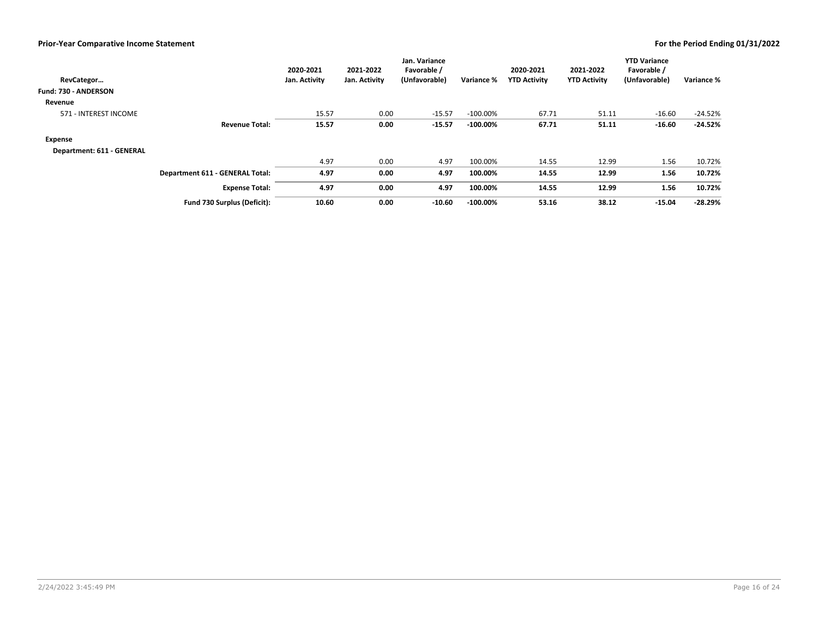| RevCategor<br>Fund: 730 - ANDERSON |                                 | 2020-2021<br>Jan. Activity | 2021-2022<br>Jan. Activity | Jan. Variance<br>Favorable /<br>(Unfavorable) | Variance %  | 2020-2021<br><b>YTD Activity</b> | 2021-2022<br><b>YTD Activity</b> | <b>YTD Variance</b><br>Favorable /<br>(Unfavorable) | Variance % |
|------------------------------------|---------------------------------|----------------------------|----------------------------|-----------------------------------------------|-------------|----------------------------------|----------------------------------|-----------------------------------------------------|------------|
|                                    |                                 |                            |                            |                                               |             |                                  |                                  |                                                     |            |
| Revenue                            |                                 |                            |                            |                                               |             |                                  |                                  |                                                     |            |
| 571 - INTEREST INCOME              |                                 | 15.57                      | 0.00                       | $-15.57$                                      | $-100.00\%$ | 67.71                            | 51.11                            | $-16.60$                                            | $-24.52%$  |
|                                    | <b>Revenue Total:</b>           | 15.57                      | 0.00                       | $-15.57$                                      | $-100.00\%$ | 67.71                            | 51.11                            | $-16.60$                                            | $-24.52%$  |
| Expense                            |                                 |                            |                            |                                               |             |                                  |                                  |                                                     |            |
| Department: 611 - GENERAL          |                                 |                            |                            |                                               |             |                                  |                                  |                                                     |            |
|                                    |                                 | 4.97                       | 0.00                       | 4.97                                          | 100.00%     | 14.55                            | 12.99                            | 1.56                                                | 10.72%     |
|                                    | Department 611 - GENERAL Total: | 4.97                       | 0.00                       | 4.97                                          | 100.00%     | 14.55                            | 12.99                            | 1.56                                                | 10.72%     |
|                                    | <b>Expense Total:</b>           | 4.97                       | 0.00                       | 4.97                                          | 100.00%     | 14.55                            | 12.99                            | 1.56                                                | 10.72%     |
|                                    | Fund 730 Surplus (Deficit):     | 10.60                      | 0.00                       | $-10.60$                                      | $-100.00\%$ | 53.16                            | 38.12                            | $-15.04$                                            | $-28.29%$  |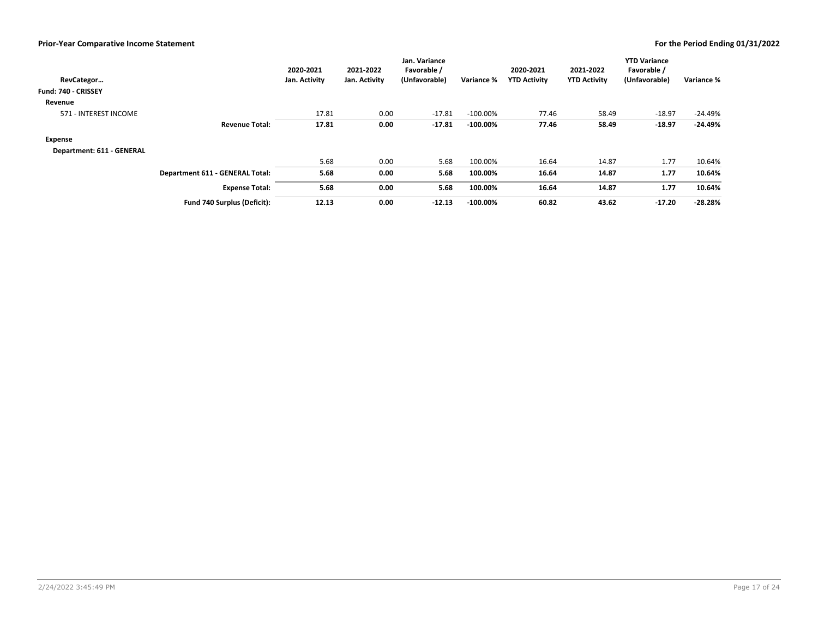| RevCategor<br>Fund: 740 - CRISSEY |                                 | 2020-2021<br>Jan. Activity | 2021-2022<br>Jan. Activity | Jan. Variance<br>Favorable /<br>(Unfavorable) | Variance %  | 2020-2021<br><b>YTD Activity</b> | 2021-2022<br><b>YTD Activity</b> | <b>YTD Variance</b><br>Favorable /<br>(Unfavorable) | Variance % |
|-----------------------------------|---------------------------------|----------------------------|----------------------------|-----------------------------------------------|-------------|----------------------------------|----------------------------------|-----------------------------------------------------|------------|
| Revenue                           |                                 |                            |                            |                                               |             |                                  |                                  |                                                     |            |
| 571 - INTEREST INCOME             |                                 | 17.81                      | 0.00                       | $-17.81$                                      | $-100.00\%$ | 77.46                            | 58.49                            | $-18.97$                                            | $-24.49%$  |
|                                   | <b>Revenue Total:</b>           | 17.81                      | 0.00                       | -17.81                                        | $-100.00\%$ | 77.46                            | 58.49                            | $-18.97$                                            | $-24.49%$  |
| Expense                           |                                 |                            |                            |                                               |             |                                  |                                  |                                                     |            |
| Department: 611 - GENERAL         |                                 |                            |                            |                                               |             |                                  |                                  |                                                     |            |
|                                   |                                 | 5.68                       | 0.00                       | 5.68                                          | 100.00%     | 16.64                            | 14.87                            | 1.77                                                | 10.64%     |
|                                   | Department 611 - GENERAL Total: | 5.68                       | 0.00                       | 5.68                                          | 100.00%     | 16.64                            | 14.87                            | 1.77                                                | 10.64%     |
|                                   | <b>Expense Total:</b>           | 5.68                       | 0.00                       | 5.68                                          | 100.00%     | 16.64                            | 14.87                            | 1.77                                                | 10.64%     |
|                                   | Fund 740 Surplus (Deficit):     | 12.13                      | 0.00                       | $-12.13$                                      | $-100.00\%$ | 60.82                            | 43.62                            | $-17.20$                                            | $-28.28%$  |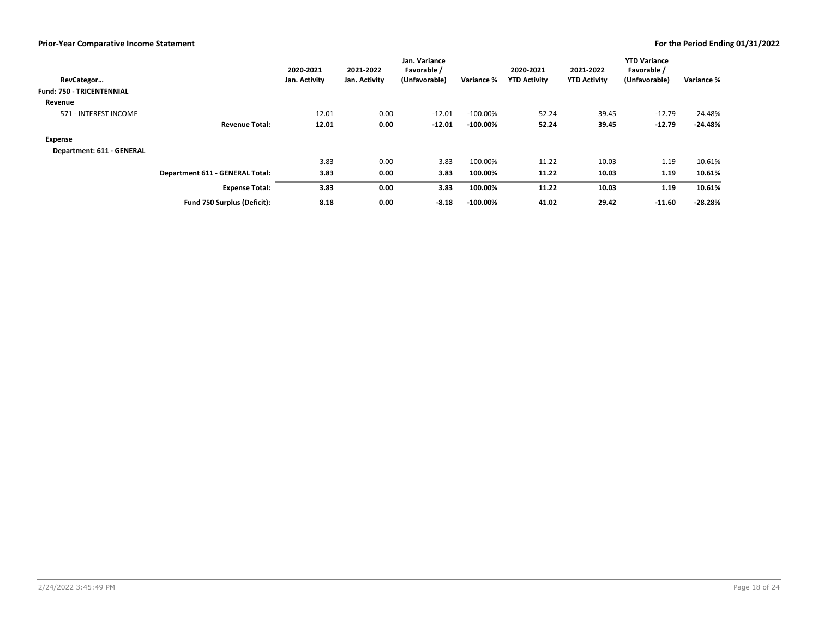| RevCategor<br><b>Fund: 750 - TRICENTENNIAL</b> |                                 | 2020-2021<br>Jan. Activity | 2021-2022<br>Jan. Activity | Jan. Variance<br>Favorable /<br>(Unfavorable) | Variance %  | 2020-2021<br><b>YTD Activity</b> | 2021-2022<br><b>YTD Activity</b> | <b>YTD Variance</b><br>Favorable /<br>(Unfavorable) | Variance % |
|------------------------------------------------|---------------------------------|----------------------------|----------------------------|-----------------------------------------------|-------------|----------------------------------|----------------------------------|-----------------------------------------------------|------------|
| Revenue                                        |                                 |                            |                            |                                               |             |                                  |                                  |                                                     |            |
| 571 - INTEREST INCOME                          |                                 | 12.01                      | 0.00                       | $-12.01$                                      | $-100.00\%$ | 52.24                            | 39.45                            | $-12.79$                                            | $-24.48%$  |
|                                                | <b>Revenue Total:</b>           | 12.01                      | 0.00                       | $-12.01$                                      | $-100.00\%$ | 52.24                            | 39.45                            | $-12.79$                                            | $-24.48%$  |
| Expense                                        |                                 |                            |                            |                                               |             |                                  |                                  |                                                     |            |
| Department: 611 - GENERAL                      |                                 |                            |                            |                                               |             |                                  |                                  |                                                     |            |
|                                                |                                 | 3.83                       | 0.00                       | 3.83                                          | 100.00%     | 11.22                            | 10.03                            | 1.19                                                | 10.61%     |
|                                                | Department 611 - GENERAL Total: | 3.83                       | 0.00                       | 3.83                                          | 100.00%     | 11.22                            | 10.03                            | 1.19                                                | 10.61%     |
|                                                | <b>Expense Total:</b>           | 3.83                       | 0.00                       | 3.83                                          | 100.00%     | 11.22                            | 10.03                            | 1.19                                                | 10.61%     |
|                                                | Fund 750 Surplus (Deficit):     | 8.18                       | 0.00                       | $-8.18$                                       | $-100.00\%$ | 41.02                            | 29.42                            | $-11.60$                                            | $-28.28%$  |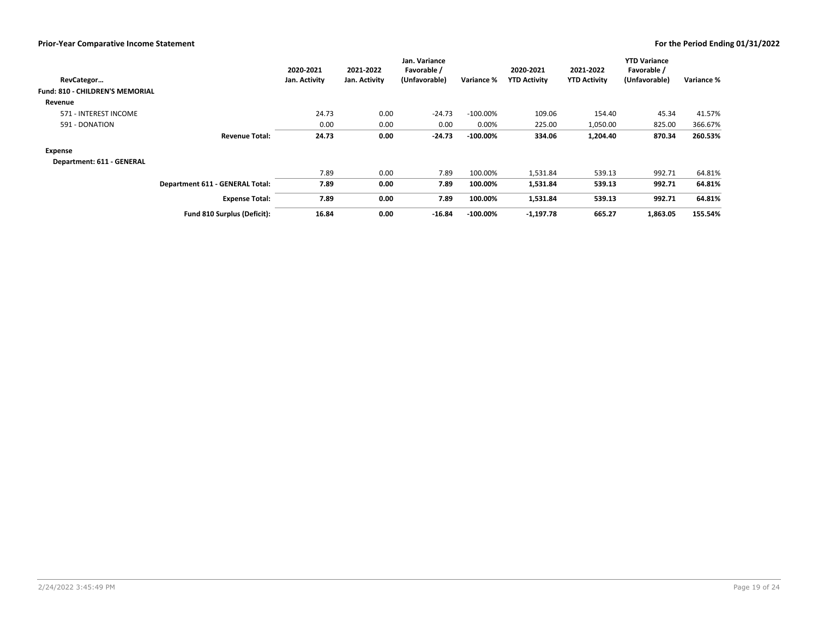|                                 |                                 | 2020-2021     | 2021-2022     | Jan. Variance<br>Favorable / |             | 2020-2021           | 2021-2022           | <b>YTD Variance</b><br>Favorable / |            |
|---------------------------------|---------------------------------|---------------|---------------|------------------------------|-------------|---------------------|---------------------|------------------------------------|------------|
| RevCategor                      |                                 | Jan. Activity | Jan. Activity | (Unfavorable)                | Variance %  | <b>YTD Activity</b> | <b>YTD Activity</b> | (Unfavorable)                      | Variance % |
| Fund: 810 - CHILDREN'S MEMORIAL |                                 |               |               |                              |             |                     |                     |                                    |            |
| Revenue                         |                                 |               |               |                              |             |                     |                     |                                    |            |
| 571 - INTEREST INCOME           |                                 | 24.73         | 0.00          | $-24.73$                     | $-100.00\%$ | 109.06              | 154.40              | 45.34                              | 41.57%     |
| 591 - DONATION                  |                                 | 0.00          | 0.00          | 0.00                         | 0.00%       | 225.00              | 1,050.00            | 825.00                             | 366.67%    |
|                                 | <b>Revenue Total:</b>           | 24.73         | 0.00          | $-24.73$                     | $-100.00\%$ | 334.06              | 1,204.40            | 870.34                             | 260.53%    |
| Expense                         |                                 |               |               |                              |             |                     |                     |                                    |            |
| Department: 611 - GENERAL       |                                 |               |               |                              |             |                     |                     |                                    |            |
|                                 |                                 | 7.89          | 0.00          | 7.89                         | 100.00%     | 1,531.84            | 539.13              | 992.71                             | 64.81%     |
|                                 | Department 611 - GENERAL Total: | 7.89          | 0.00          | 7.89                         | 100.00%     | 1,531.84            | 539.13              | 992.71                             | 64.81%     |
|                                 | <b>Expense Total:</b>           | 7.89          | 0.00          | 7.89                         | 100.00%     | 1,531.84            | 539.13              | 992.71                             | 64.81%     |
|                                 | Fund 810 Surplus (Deficit):     | 16.84         | 0.00          | $-16.84$                     | $-100.00\%$ | $-1,197.78$         | 665.27              | 1,863.05                           | 155.54%    |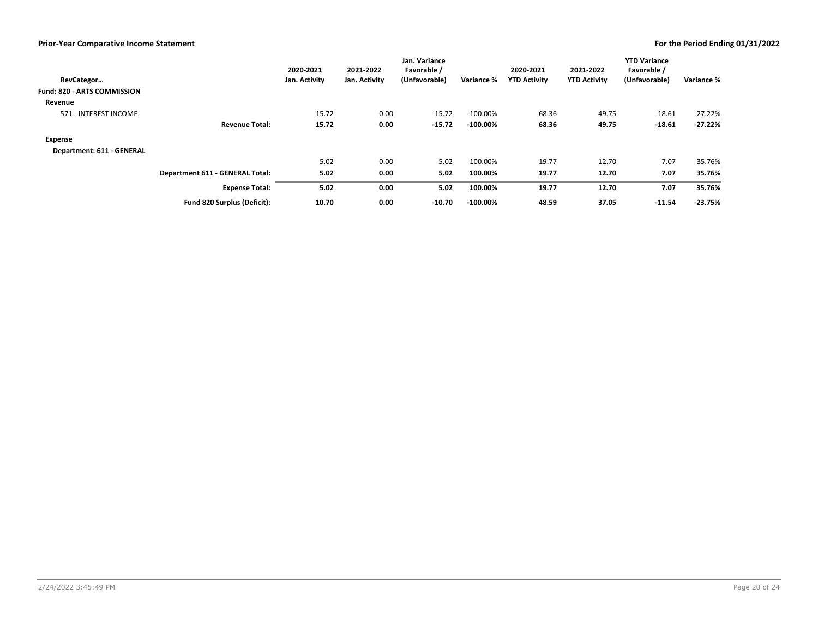| RevCategor<br><b>Fund: 820 - ARTS COMMISSION</b> |                                 | 2020-2021<br>Jan. Activity | 2021-2022<br>Jan. Activity | Jan. Variance<br>Favorable /<br>(Unfavorable) | Variance %  | 2020-2021<br><b>YTD Activity</b> | 2021-2022<br><b>YTD Activity</b> | <b>YTD Variance</b><br>Favorable /<br>(Unfavorable) | Variance % |
|--------------------------------------------------|---------------------------------|----------------------------|----------------------------|-----------------------------------------------|-------------|----------------------------------|----------------------------------|-----------------------------------------------------|------------|
| Revenue                                          |                                 |                            |                            |                                               |             |                                  |                                  |                                                     |            |
| 571 - INTEREST INCOME                            |                                 | 15.72                      | 0.00                       | $-15.72$                                      | $-100.00\%$ | 68.36                            | 49.75                            | $-18.61$                                            | $-27.22%$  |
|                                                  | <b>Revenue Total:</b>           | 15.72                      | 0.00                       | $-15.72$                                      | $-100.00\%$ | 68.36                            | 49.75                            | $-18.61$                                            | $-27.22%$  |
| Expense                                          |                                 |                            |                            |                                               |             |                                  |                                  |                                                     |            |
| Department: 611 - GENERAL                        |                                 |                            |                            |                                               |             |                                  |                                  |                                                     |            |
|                                                  |                                 | 5.02                       | 0.00                       | 5.02                                          | 100.00%     | 19.77                            | 12.70                            | 7.07                                                | 35.76%     |
|                                                  | Department 611 - GENERAL Total: | 5.02                       | 0.00                       | 5.02                                          | 100.00%     | 19.77                            | 12.70                            | 7.07                                                | 35.76%     |
|                                                  | <b>Expense Total:</b>           | 5.02                       | 0.00                       | 5.02                                          | 100.00%     | 19.77                            | 12.70                            | 7.07                                                | 35.76%     |
|                                                  | Fund 820 Surplus (Deficit):     | 10.70                      | 0.00                       | $-10.70$                                      | $-100.00\%$ | 48.59                            | 37.05                            | $-11.54$                                            | $-23.75%$  |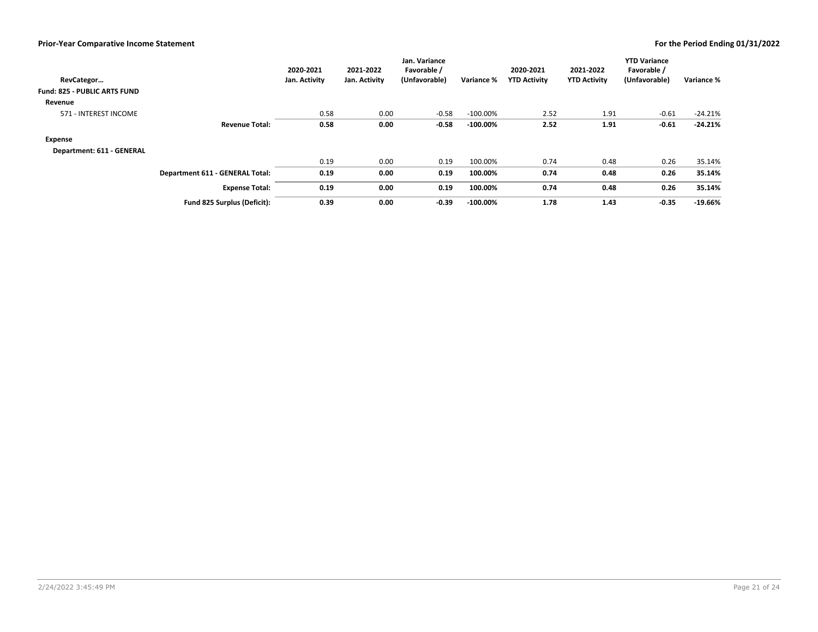| RevCategor<br><b>Fund: 825 - PUBLIC ARTS FUND</b> |                                 | 2020-2021<br>Jan. Activity | 2021-2022<br>Jan. Activity | Jan. Variance<br>Favorable /<br>(Unfavorable) | Variance %  | 2020-2021<br><b>YTD Activity</b> | 2021-2022<br><b>YTD Activity</b> | <b>YTD Variance</b><br>Favorable /<br>(Unfavorable) | Variance % |
|---------------------------------------------------|---------------------------------|----------------------------|----------------------------|-----------------------------------------------|-------------|----------------------------------|----------------------------------|-----------------------------------------------------|------------|
|                                                   |                                 |                            |                            |                                               |             |                                  |                                  |                                                     |            |
| Revenue                                           |                                 |                            |                            |                                               |             |                                  |                                  |                                                     |            |
| 571 - INTEREST INCOME                             |                                 | 0.58                       | 0.00                       | $-0.58$                                       | $-100.00\%$ | 2.52                             | 1.91                             | $-0.61$                                             | $-24.21%$  |
|                                                   | <b>Revenue Total:</b>           | 0.58                       | 0.00                       | $-0.58$                                       | $-100.00\%$ | 2.52                             | 1.91                             | $-0.61$                                             | $-24.21%$  |
| Expense                                           |                                 |                            |                            |                                               |             |                                  |                                  |                                                     |            |
| Department: 611 - GENERAL                         |                                 |                            |                            |                                               |             |                                  |                                  |                                                     |            |
|                                                   |                                 | 0.19                       | 0.00                       | 0.19                                          | 100.00%     | 0.74                             | 0.48                             | 0.26                                                | 35.14%     |
|                                                   | Department 611 - GENERAL Total: | 0.19                       | 0.00                       | 0.19                                          | 100.00%     | 0.74                             | 0.48                             | 0.26                                                | 35.14%     |
|                                                   | <b>Expense Total:</b>           | 0.19                       | 0.00                       | 0.19                                          | 100.00%     | 0.74                             | 0.48                             | 0.26                                                | 35.14%     |
|                                                   | Fund 825 Surplus (Deficit):     | 0.39                       | 0.00                       | $-0.39$                                       | $-100.00\%$ | 1.78                             | 1.43                             | $-0.35$                                             | $-19.66%$  |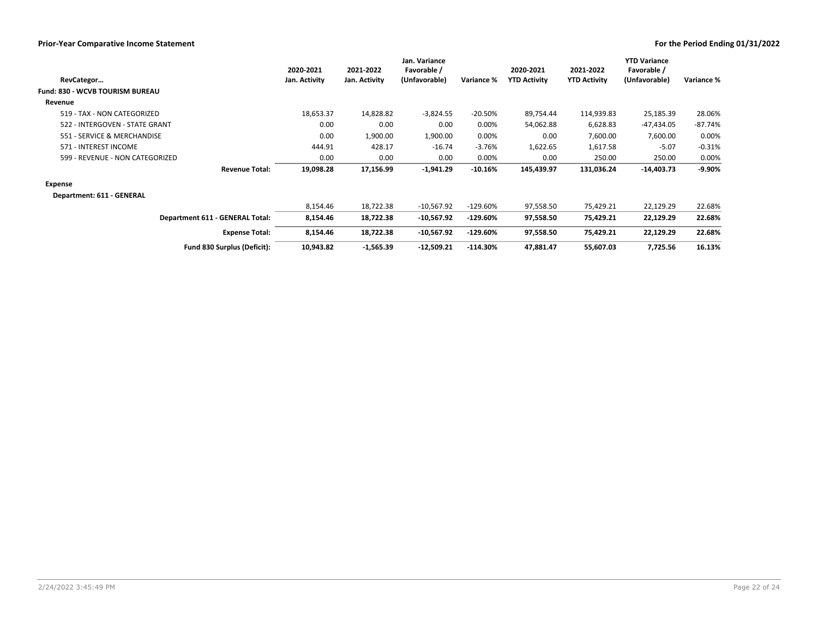|                                 | 2020-2021     | 2021-2022     | Jan. Variance<br>Favorable / |            | 2020-2021           | 2021-2022           | <b>YTD Variance</b><br>Favorable / |            |
|---------------------------------|---------------|---------------|------------------------------|------------|---------------------|---------------------|------------------------------------|------------|
| RevCategor                      | Jan. Activity | Jan. Activity | (Unfavorable)                | Variance % | <b>YTD Activity</b> | <b>YTD Activity</b> | (Unfavorable)                      | Variance % |
| Fund: 830 - WCVB TOURISM BUREAU |               |               |                              |            |                     |                     |                                    |            |
| Revenue                         |               |               |                              |            |                     |                     |                                    |            |
| 519 - TAX - NON CATEGORIZED     | 18,653.37     | 14,828.82     | $-3,824.55$                  | $-20.50%$  | 89,754.44           | 114,939.83          | 25,185.39                          | 28.06%     |
| 522 - INTERGOVEN - STATE GRANT  | 0.00          | 0.00          | 0.00                         | 0.00%      | 54,062.88           | 6,628.83            | -47,434.05                         | $-87.74%$  |
| 551 - SERVICE & MERCHANDISE     | 0.00          | 1,900.00      | 1,900.00                     | 0.00%      | 0.00                | 7,600.00            | 7,600.00                           | 0.00%      |
| 571 - INTEREST INCOME           | 444.91        | 428.17        | $-16.74$                     | $-3.76%$   | 1,622.65            | 1,617.58            | $-5.07$                            | $-0.31%$   |
| 599 - REVENUE - NON CATEGORIZED | 0.00          | 0.00          | 0.00                         | 0.00%      | 0.00                | 250.00              | 250.00                             | 0.00%      |
| <b>Revenue Total:</b>           | 19,098.28     | 17,156.99     | $-1,941.29$                  | $-10.16%$  | 145,439.97          | 131,036.24          | $-14,403.73$                       | $-9.90\%$  |
| Expense                         |               |               |                              |            |                     |                     |                                    |            |
| Department: 611 - GENERAL       |               |               |                              |            |                     |                     |                                    |            |
|                                 | 8,154.46      | 18,722.38     | $-10,567.92$                 | $-129.60%$ | 97,558.50           | 75,429.21           | 22,129.29                          | 22.68%     |
| Department 611 - GENERAL Total: | 8,154.46      | 18,722.38     | $-10,567.92$                 | $-129.60%$ | 97,558.50           | 75,429.21           | 22,129.29                          | 22.68%     |
| <b>Expense Total:</b>           | 8,154.46      | 18,722.38     | $-10,567.92$                 | $-129.60%$ | 97,558.50           | 75,429.21           | 22,129.29                          | 22.68%     |
| Fund 830 Surplus (Deficit):     | 10,943.82     | $-1,565.39$   | $-12,509.21$                 | $-114.30%$ | 47,881.47           | 55,607.03           | 7,725.56                           | 16.13%     |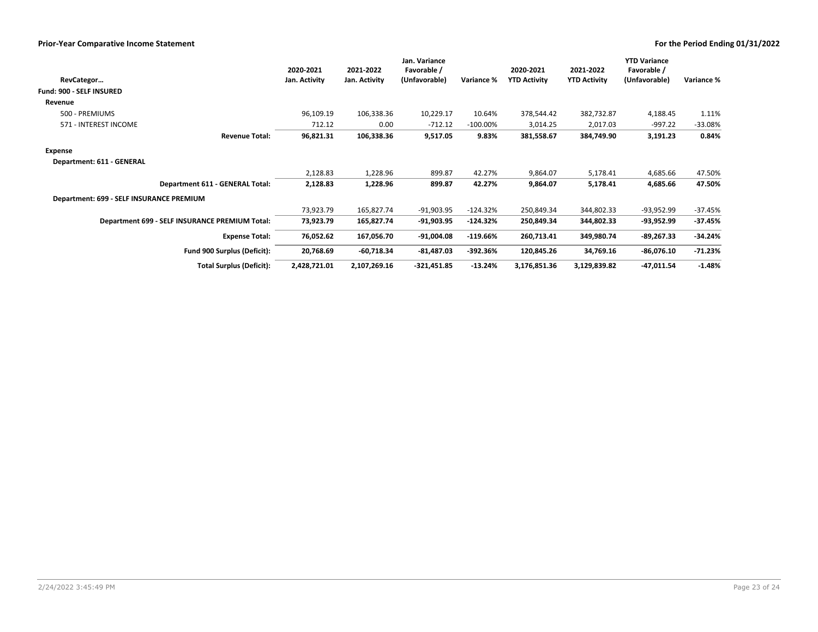|                                                | 2020-2021     | 2021-2022     | Jan. Variance<br>Favorable / |             | 2020-2021           | 2021-2022           | <b>YTD Variance</b><br>Favorable / |            |
|------------------------------------------------|---------------|---------------|------------------------------|-------------|---------------------|---------------------|------------------------------------|------------|
| RevCategor                                     | Jan. Activity | Jan. Activity | (Unfavorable)                | Variance %  | <b>YTD Activity</b> | <b>YTD Activity</b> | (Unfavorable)                      | Variance % |
| Fund: 900 - SELF INSURED                       |               |               |                              |             |                     |                     |                                    |            |
| Revenue                                        |               |               |                              |             |                     |                     |                                    |            |
| 500 - PREMIUMS                                 | 96,109.19     | 106,338.36    | 10,229.17                    | 10.64%      | 378,544.42          | 382,732.87          | 4,188.45                           | 1.11%      |
| 571 - INTEREST INCOME                          | 712.12        | 0.00          | $-712.12$                    | $-100.00\%$ | 3,014.25            | 2,017.03            | -997.22                            | $-33.08%$  |
| <b>Revenue Total:</b>                          | 96,821.31     | 106,338.36    | 9,517.05                     | 9.83%       | 381,558.67          | 384,749.90          | 3,191.23                           | 0.84%      |
| Expense                                        |               |               |                              |             |                     |                     |                                    |            |
| Department: 611 - GENERAL                      |               |               |                              |             |                     |                     |                                    |            |
|                                                | 2,128.83      | 1,228.96      | 899.87                       | 42.27%      | 9,864.07            | 5,178.41            | 4,685.66                           | 47.50%     |
| Department 611 - GENERAL Total:                | 2,128.83      | 1,228.96      | 899.87                       | 42.27%      | 9,864.07            | 5,178.41            | 4,685.66                           | 47.50%     |
| Department: 699 - SELF INSURANCE PREMIUM       |               |               |                              |             |                     |                     |                                    |            |
|                                                | 73,923.79     | 165,827.74    | $-91,903.95$                 | $-124.32%$  | 250,849.34          | 344,802.33          | -93,952.99                         | $-37.45%$  |
| Department 699 - SELF INSURANCE PREMIUM Total: | 73,923.79     | 165,827.74    | $-91,903.95$                 | $-124.32%$  | 250,849.34          | 344,802.33          | $-93,952.99$                       | $-37.45%$  |
| <b>Expense Total:</b>                          | 76,052.62     | 167,056.70    | $-91,004.08$                 | $-119.66%$  | 260,713.41          | 349,980.74          | $-89,267.33$                       | $-34.24%$  |
| <b>Fund 900 Surplus (Deficit):</b>             | 20,768.69     | -60,718.34    | $-81,487.03$                 | $-392.36%$  | 120,845.26          | 34,769.16           | $-86,076.10$                       | $-71.23%$  |
| <b>Total Surplus (Deficit):</b>                | 2,428,721.01  | 2,107,269.16  | $-321,451.85$                | $-13.24%$   | 3,176,851.36        | 3,129,839.82        | -47,011.54                         | $-1.48%$   |